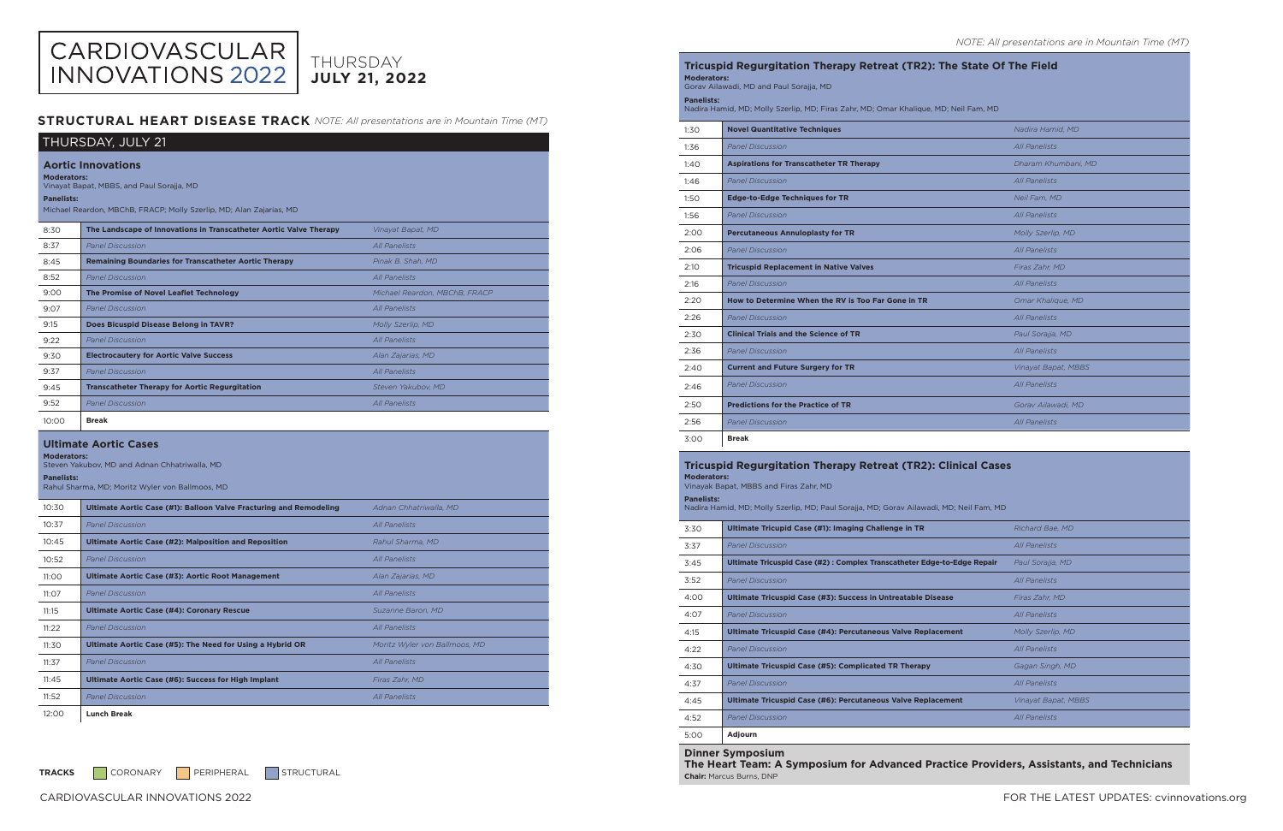# CARDIOVASCULAR<br>INNOVATIONS 2022 THURSDAY **JULY 21, 2022**

# **STRUCTURAL HEART DISEASE TRACK** NOTE: All presentations are in Mountain Time (MT)

| THURSDAY, JULY 21                                                                                                                                                                        |                                                                             |                               |  |
|------------------------------------------------------------------------------------------------------------------------------------------------------------------------------------------|-----------------------------------------------------------------------------|-------------------------------|--|
| <b>Aortic Innovations</b><br><b>Moderators:</b><br>Vinayat Bapat, MBBS, and Paul Sorajja, MD<br><b>Panelists:</b><br>Michael Reardon, MBChB, FRACP; Molly Szerlip, MD; Alan Zajarias, MD |                                                                             |                               |  |
| 8:30                                                                                                                                                                                     | The Landscape of Innovations in Transcatheter Aortic Valve Therapy          | Vinayat Bapat, MD             |  |
| 8:37                                                                                                                                                                                     | <b>Panel Discussion</b>                                                     | <b>All Panelists</b>          |  |
| 8:45                                                                                                                                                                                     | <b>Remaining Boundaries for Transcatheter Aortic Therapy</b>                | Pinak B. Shah. MD             |  |
| 8:52                                                                                                                                                                                     | <b>Panel Discussion</b>                                                     | <b>All Panelists</b>          |  |
| 9:00                                                                                                                                                                                     | The Promise of Novel Leaflet Technology                                     | Michael Reardon, MBChB, FRACP |  |
| 9:07                                                                                                                                                                                     | <b>Panel Discussion</b>                                                     | <b>All Panelists</b>          |  |
| 9:15                                                                                                                                                                                     | Does Bicuspid Disease Belong in TAVR?                                       | <b>Molly Szerlip, MD</b>      |  |
| 9:22                                                                                                                                                                                     | <b>Panel Discussion</b>                                                     | <i>All Panelists</i>          |  |
| 9:30                                                                                                                                                                                     | <b>Electrocautery for Aortic Valve Success</b>                              | Alan Zajarias, MD             |  |
| 9:37                                                                                                                                                                                     | <b>Panel Discussion</b>                                                     | <b>All Panelists</b>          |  |
| 9:45                                                                                                                                                                                     | <b>Transcatheter Therapy for Aortic Regurgitation</b><br>Steven Yakubov, MD |                               |  |
| 9:52                                                                                                                                                                                     | <b>Panel Discussion</b>                                                     | <b>All Panelists</b>          |  |
| 10:00                                                                                                                                                                                    | <b>Break</b>                                                                |                               |  |
| <b>Ultimate Aortic Cases</b><br><b>Moderators:</b><br>Steven Yakubov, MD and Adnan Chhatriwalla, MD<br><b>Panelists:</b><br>Rahul Sharma, MD; Moritz Wyler von Ballmoos, MD              |                                                                             |                               |  |
| 10:30                                                                                                                                                                                    | Ultimate Aortic Case (#1): Balloon Valve Fracturing and Remodeling          | Adnan Chhatriwalla, MD        |  |
| 10:37                                                                                                                                                                                    | <b>Panel Discussion</b>                                                     | <b>All Panelists</b>          |  |
| 10:45                                                                                                                                                                                    | <b>Ultimate Aortic Case (#2): Malposition and Reposition</b>                | Rahul Sharma, MD              |  |
| 10:52                                                                                                                                                                                    | <b>Panel Discussion</b>                                                     | <b>All Panelists</b>          |  |
| 11:00                                                                                                                                                                                    | Ultimate Aortic Case (#3): Aortic Root Management                           | Alan Zajarias, MD             |  |
| 11:07                                                                                                                                                                                    | <b>Panel Discussion</b>                                                     | <b>All Panelists</b>          |  |
| 11:15                                                                                                                                                                                    | <b>Ultimate Aortic Case (#4): Coronary Rescue</b>                           | Suzanne Baron, MD             |  |
| 11:22                                                                                                                                                                                    | <b>Panel Discussion</b>                                                     | All Panelists                 |  |
| 11:30                                                                                                                                                                                    | Ultimate Aortic Case (#5): The Need for Using a Hybrid OR                   | Moritz Wyler von Ballmoos, MD |  |
| 11:37                                                                                                                                                                                    | <b>Panel Discussion</b>                                                     | <b>All Panelists</b>          |  |
| 11:45                                                                                                                                                                                    | <b>Ultimate Aortic Case (#6): Success for High Implant</b>                  | Firas Zahr, MD                |  |
| 11:52                                                                                                                                                                                    | <b>Panel Discussion</b>                                                     | <b>All Panelists</b>          |  |
|                                                                                                                                                                                          |                                                                             |                               |  |

12:00 **Lunch Break**

TRACKS CORONARY PERIPHERAL STRUCTURAL

# **Tricuspid Regurgitation Therapy Retreat (TR2): The State Of The Field**

| <b>Moderators:</b><br>Gorav Ailawadi, MD and Paul Sorajja, MD                                                 |                                                    |                      |  |
|---------------------------------------------------------------------------------------------------------------|----------------------------------------------------|----------------------|--|
| <b>Panelists:</b><br>Nadira Hamid, MD; Molly Szerlip, MD; Firas Zahr, MD; Omar Khalique, MD; Neil Fam, MD     |                                                    |                      |  |
| 1:30                                                                                                          | <b>Novel Quantitative Techniques</b>               | Nadira Hamid, MD     |  |
| 1:36                                                                                                          | <b>Panel Discussion</b>                            | All Panelists        |  |
| 1:40                                                                                                          | <b>Aspirations for Transcatheter TR Therapy</b>    | Dharam Khumbani, MD  |  |
| 1:46                                                                                                          | <b>Panel Discussion</b>                            | All Panelists        |  |
| 1:50                                                                                                          | <b>Edge-to-Edge Techniques for TR</b>              | Neil Fam, MD         |  |
| 1:56                                                                                                          | <b>Panel Discussion</b>                            | <b>All Panelists</b> |  |
| 2:00                                                                                                          | <b>Percutaneous Annuloplasty for TR</b>            | Molly Szerlip, MD    |  |
| 2:06                                                                                                          | <b>Panel Discussion</b>                            | <b>All Panelists</b> |  |
| 2:10                                                                                                          | <b>Tricuspid Replacement in Native Valves</b>      | Firas Zahr, MD       |  |
| 2:16                                                                                                          | <b>Panel Discussion</b>                            | <b>All Panelists</b> |  |
| 2:20                                                                                                          | How to Determine When the RV is Too Far Gone in TR | Omar Khalique, MD    |  |
| 2:26                                                                                                          | <b>Panel Discussion</b>                            | <b>All Panelists</b> |  |
| 2:30                                                                                                          | <b>Clinical Trials and the Science of TR</b>       | Paul Sorajja, MD     |  |
| 2:36                                                                                                          | <b>Panel Discussion</b>                            | All Panelists        |  |
| 2:40                                                                                                          | <b>Current and Future Surgery for TR</b>           | Vinayat Bapat, MBBS  |  |
| 2:46                                                                                                          | <b>Panel Discussion</b>                            | <b>All Panelists</b> |  |
| 2:50                                                                                                          | <b>Predictions for the Practice of TR</b>          | Gorav Ailawadi, MD   |  |
| 2:56                                                                                                          | <b>Panel Discussion</b>                            | All Panelists        |  |
| 3:00                                                                                                          | <b>Break</b>                                       |                      |  |
| <b>TEMPS</b><br>ena identita en 1716.<br>$\sim$ (TDA), $\sim$ $\sim$ $\sim$ $\sim$<br>54 R.<br>$\sim$ Details |                                                    |                      |  |

| <b>Tricuspid Regurgitation Therapy Retreat (TR2): Clinical Cases</b><br><b>Moderators:</b><br>Vinayak Bapat, MBBS and Firas Zahr, MD |                                                                         |                            |
|--------------------------------------------------------------------------------------------------------------------------------------|-------------------------------------------------------------------------|----------------------------|
| <b>Panelists:</b><br>Nadira Hamid, MD; Molly Szerlip, MD; Paul Sorajja, MD; Gorav Ailawadi, MD; Neil Fam, MD                         |                                                                         |                            |
| 3:30                                                                                                                                 | Ultimate Tricupid Case (#1): Imaging Challenge in TR                    | Richard Bae, MD            |
| 3:37                                                                                                                                 | <b>Panel Discussion</b>                                                 | All Panelists              |
| 3:45                                                                                                                                 | Ultimate Tricuspid Case (#2): Complex Transcatheter Edge-to-Edge Repair | Paul Sorajja, MD           |
| 3:52                                                                                                                                 | <b>Panel Discussion</b>                                                 | All Panelists              |
| 4:00                                                                                                                                 | Ultimate Tricuspid Case (#3): Success in Untreatable Disease            | Firas Zahr, MD             |
| 4:07                                                                                                                                 | <b>Panel Discussion</b>                                                 | <b>All Panelists</b>       |
| 4:15                                                                                                                                 | Ultimate Tricuspid Case (#4): Percutaneous Valve Replacement            | Molly Szerlip, MD          |
| 4:22                                                                                                                                 | <b>Panel Discussion</b>                                                 | <b>All Panelists</b>       |
| 4:30                                                                                                                                 | Ultimate Tricuspid Case (#5): Complicated TR Therapy                    | Gagan Singh, MD            |
| 4:37                                                                                                                                 | <b>Panel Discussion</b>                                                 | <b>All Panelists</b>       |
| 4:45                                                                                                                                 | <b>Ultimate Tricuspid Case (#6): Percutaneous Valve Replacement</b>     | <i>Vinayat Bapat, MBBS</i> |
| 4:52                                                                                                                                 | <b>Panel Discussion</b>                                                 | <b>All Panelists</b>       |
| 5:00                                                                                                                                 | Adjourn                                                                 |                            |

### **Dinner Symposium**

**The Heart Team: A Symposium for Advanced Practice Providers, Assistants, and Technicians Chair:** Marcus Burns, DNP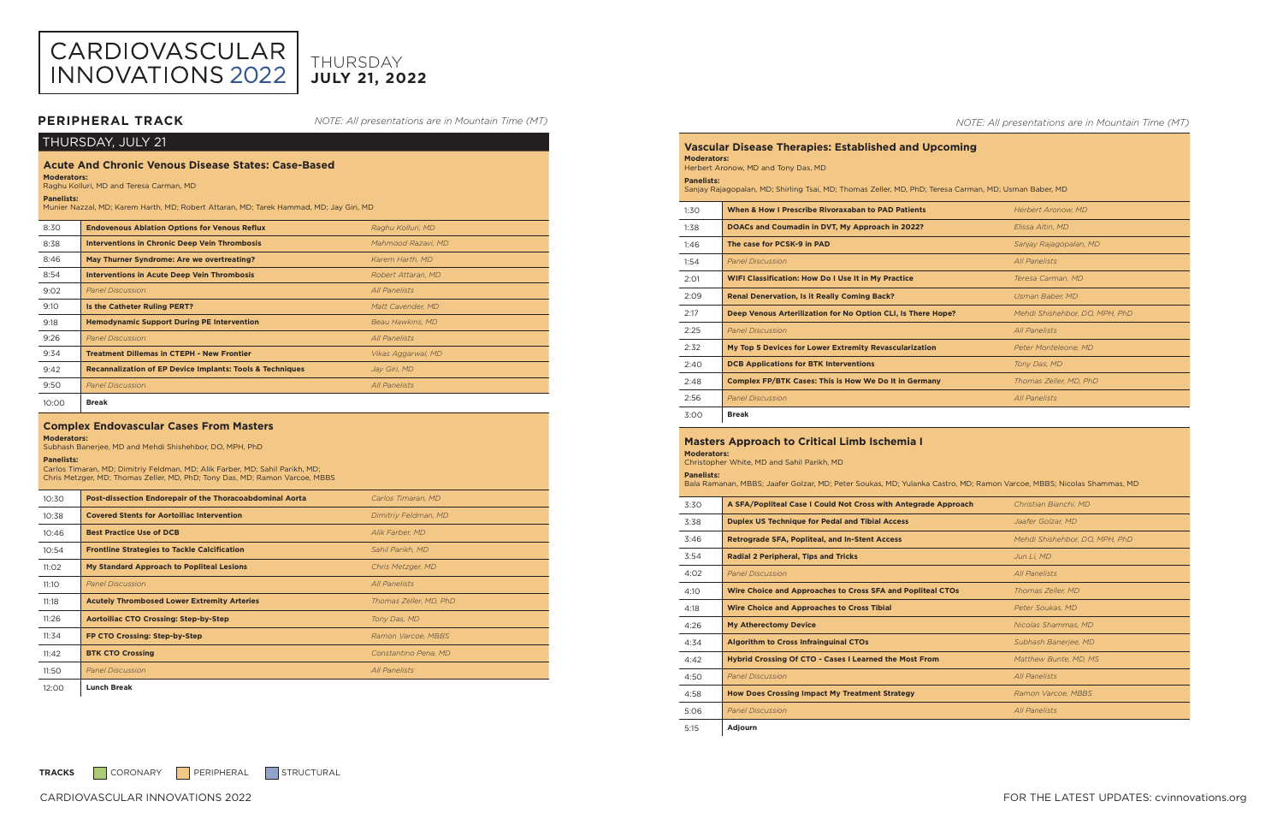| THURSDAY, JULY 21                                                                                                                                                                                                                          |                                                                      |                      |  |
|--------------------------------------------------------------------------------------------------------------------------------------------------------------------------------------------------------------------------------------------|----------------------------------------------------------------------|----------------------|--|
| <b>Acute And Chronic Venous Disease States: Case-Based</b><br><b>Moderators:</b><br>Raghu Kolluri, MD and Teresa Carman, MD<br><b>Panelists:</b><br>Munier Nazzal, MD; Karem Harth, MD; Robert Attaran, MD; Tarek Hammad, MD; Jay Giri, MD |                                                                      |                      |  |
| 8:30                                                                                                                                                                                                                                       | <b>Endovenous Ablation Options for Venous Reflux</b>                 | Raghu Kolluri, MD    |  |
| 8:38                                                                                                                                                                                                                                       | <b>Interventions in Chronic Deep Vein Thrombosis</b>                 | Mahmood Razavi, MD   |  |
| 8:46                                                                                                                                                                                                                                       | May Thurner Syndrome: Are we overtreating?                           | Karem Harth, MD      |  |
| 8:54                                                                                                                                                                                                                                       | <b>Interventions in Acute Deep Vein Thrombosis</b>                   | Robert Attaran, MD   |  |
| 9:02                                                                                                                                                                                                                                       | <b>Panel Discussion</b>                                              | <b>All Panelists</b> |  |
| 9:10                                                                                                                                                                                                                                       | Is the Catheter Ruling PERT?                                         | Matt Cavender, MD    |  |
| 9:18                                                                                                                                                                                                                                       | <b>Hemodynamic Support During PE Intervention</b>                    | Beau Hawkins, MD     |  |
| 9:26                                                                                                                                                                                                                                       | <b>Panel Discussion</b>                                              | <b>All Panelists</b> |  |
| 9:34                                                                                                                                                                                                                                       | <b>Treatment Dillemas in CTEPH - New Frontier</b>                    | Vikas Aggarwal, MD   |  |
| 9:42                                                                                                                                                                                                                                       | <b>Recannalization of EP Device Implants: Tools &amp; Techniques</b> | Jay Giri, MD         |  |
| 9:50                                                                                                                                                                                                                                       | <b>Panel Discussion</b>                                              | <b>All Panelists</b> |  |
| 10:00                                                                                                                                                                                                                                      | <b>Break</b>                                                         |                      |  |
| <b>Complex Endovascular Cases From Masters</b><br><b>Moderators:</b><br>Subhash Banerjee, MD and Mehdi Shishehbor, DO, MPH, PhD<br><b>Panelists:</b>                                                                                       |                                                                      |                      |  |

Carlos Timaran, MD; Dimitriy Feldman, MD; Alik Farber, MD; Sahil Parikh, MD; Chris Metzger, MD; Thomas Zeller, MD, PhD; Tony Das, MD; Ramon Varcoe, MBBS

| 10:30 | Post-dissection Endorepair of the Thoracoabdominal Aorta | Carlos Timaran, MD     |  |
|-------|----------------------------------------------------------|------------------------|--|
| 10:38 | <b>Covered Stents for Aortoiliac Intervention</b>        | Dimitriy Feldman, MD   |  |
| 10:46 | <b>Best Practice Use of DCB</b>                          | Alik Farber, MD        |  |
| 10:54 | <b>Frontline Strategies to Tackle Calcification</b>      | Sahil Parikh, MD       |  |
| 11:02 | My Standard Approach to Popliteal Lesions                | Chris Metzger, MD      |  |
| 11:10 | <b>Panel Discussion</b>                                  | All Panelists          |  |
| 11:18 | <b>Acutely Thrombosed Lower Extremity Arteries</b>       | Thomas Zeller, MD, PhD |  |
| 11:26 | <b>Aortoiliac CTO Crossing: Step-by-Step</b>             | Tony Das, MD           |  |
| 11:34 | FP CTO Crossing: Step-by-Step                            | Ramon Varcoe, MBBS     |  |
| 11:42 | <b>BTK CTO Crossing</b>                                  | Constantino Pena, MD   |  |
| 11:50 | <b>Panel Discussion</b>                                  | <b>All Panelists</b>   |  |
| 12:00 | <b>Lunch Break</b>                                       |                        |  |

## *NOTE: All presentations are in Mountain Time (MT)*

| <b>Vascular Disease Therapies: Established and Upcoming</b><br><b>Moderators:</b><br>Herbert Aronow, MD and Tony Das, MD   |                                                              |                                |
|----------------------------------------------------------------------------------------------------------------------------|--------------------------------------------------------------|--------------------------------|
| <b>Panelists:</b><br>Sanjay Rajagopalan, MD; Shirling Tsai, MD; Thomas Zeller, MD, PhD; Teresa Carman, MD; Usman Baber, MD |                                                              |                                |
| 1:30                                                                                                                       | When & How I Prescribe Rivoraxaban to PAD Patients           | <b>Herbert Aronow, MD</b>      |
| 1:38                                                                                                                       | DOACs and Coumadin in DVT, My Approach in 2022?              | Elissa Altin, MD               |
| 1:46                                                                                                                       | The case for PCSK-9 in PAD                                   | Sanjay Rajagopalan, MD         |
| 1:54                                                                                                                       | <b>Panel Discussion</b>                                      | All Panelists                  |
| 2:01                                                                                                                       | <b>WIFI Classification: How Do I Use It in My Practice</b>   | Teresa Carman, MD              |
| 2:09                                                                                                                       | <b>Renal Denervation, Is it Really Coming Back?</b>          | Usman Baber, MD                |
| 2:17                                                                                                                       | Deep Venous Arterilization for No Option CLI, Is There Hope? | Mehdi Shishehbor, DO, MPH, PhD |
| 2:25                                                                                                                       | <b>Panel Discussion</b>                                      | <b>All Panelists</b>           |
| 2:32                                                                                                                       | My Top 5 Devices for Lower Extremity Revascularization       | Peter Monteleone, MD           |
| 2:40                                                                                                                       | <b>DCB Applications for BTK Interventions</b>                | Tony Das, MD                   |
| 2:48                                                                                                                       | <b>Complex FP/BTK Cases: This is How We Do It in Germany</b> | Thomas Zeller, MD, PhD         |
| 2:56                                                                                                                       | <b>Panel Discussion</b>                                      | <b>All Panelists</b>           |

| 1:30 | When & How I Prescribe Rivoraxaban to PAD Patients           | Herbert Aronow, MD             |  |
|------|--------------------------------------------------------------|--------------------------------|--|
| 1:38 | DOACs and Coumadin in DVT, My Approach in 2022?              | Elissa Altin, MD               |  |
| 1:46 | The case for PCSK-9 in PAD                                   | Sanjay Rajagopalan, MD         |  |
| 1:54 | <b>Panel Discussion</b>                                      | <b>All Panelists</b>           |  |
| 2:01 | <b>WIFI Classification: How Do I Use It in My Practice</b>   | Teresa Carman, MD              |  |
| 2:09 | <b>Renal Denervation, Is it Really Coming Back?</b>          | Usman Baber, MD                |  |
| 2:17 | Deep Venous Arterilization for No Option CLI, Is There Hope? | Mehdi Shishehbor, DO, MPH, PhD |  |
| 2:25 | <b>Panel Discussion</b>                                      | <b>All Panelists</b>           |  |
| 2:32 | My Top 5 Devices for Lower Extremity Revascularization       | Peter Monteleone, MD           |  |
| 2:40 | <b>DCB Applications for BTK Interventions</b>                | Tony Das, MD                   |  |
| 2:48 | <b>Complex FP/BTK Cases: This is How We Do It in Germany</b> | Thomas Zeller, MD, PhD         |  |
| 2:56 | <b>Panel Discussion</b>                                      | All Panelists                  |  |
| 3:00 | <b>Break</b>                                                 |                                |  |

| вreак |
|-------|
|       |

# CARDIOVASCULAR<br>INNOVATIONS 2022

### **Masters Approach to Critical Limb Ischemia I Moderators:**

# **JULY 21, 2022** THURSDAY

Christopher White, MD and Sahil Parikh, MD

| <b>Panelists:</b><br>Bala Ramanan, MBBS; Jaafer Golzar, MD; Peter Soukas, MD; Yulanka Castro, MD; Ramon Varcoe, MBBS; Nicolas Shammas, MD |                                                                |                                |
|-------------------------------------------------------------------------------------------------------------------------------------------|----------------------------------------------------------------|--------------------------------|
| 3:30                                                                                                                                      | A SFA/Popliteal Case I Could Not Cross with Antegrade Approach | Christian Bianchi, MD          |
| 3:38                                                                                                                                      | <b>Duplex US Technique for Pedal and Tibial Access</b>         | Jaafer Golzar, MD              |
| 3:46                                                                                                                                      | <b>Retrograde SFA, Popliteal, and In-Stent Access</b>          | Mehdi Shishehbor, DO, MPH, PhD |
| 3:54                                                                                                                                      | <b>Radial 2 Peripheral, Tips and Tricks</b>                    | Jun Li, MD                     |
| 4:02                                                                                                                                      | <b>Panel Discussion</b>                                        | <b>All Panelists</b>           |
| 4:10                                                                                                                                      | Wire Choice and Approaches to Cross SFA and Popliteal CTOs     | Thomas Zeller, MD              |
| 4:18                                                                                                                                      | <b>Wire Choice and Approaches to Cross Tibial</b>              | Peter Soukas, MD               |
| 4:26                                                                                                                                      | <b>My Atherectomy Device</b>                                   | Nicolas Shammas, MD            |
| 4:34                                                                                                                                      | <b>Algorithm to Cross Infrainguinal CTOs</b>                   | Subhash Banerjee, MD           |
| 4:42                                                                                                                                      | Hybrid Crossing Of CTO - Cases I Learned the Most From         | Matthew Bunte, MD, MS          |
| 4:50                                                                                                                                      | <b>Panel Discussion</b>                                        | <b>All Panelists</b>           |
| 4:58                                                                                                                                      | <b>How Does Crossing Impact My Treatment Strategy</b>          | Ramon Varcoe, MBBS             |
| 5:06                                                                                                                                      | <b>Panel Discussion</b>                                        | <b>All Panelists</b>           |
| 5:15                                                                                                                                      | Adjourn                                                        |                                |

TRACKS CORONARY PERIPHERAL STRUCTURAL

| NOTE: All presentations are in Mountain Time (MT) |  |  |
|---------------------------------------------------|--|--|
|---------------------------------------------------|--|--|

# **PERIPHERAL TRACK**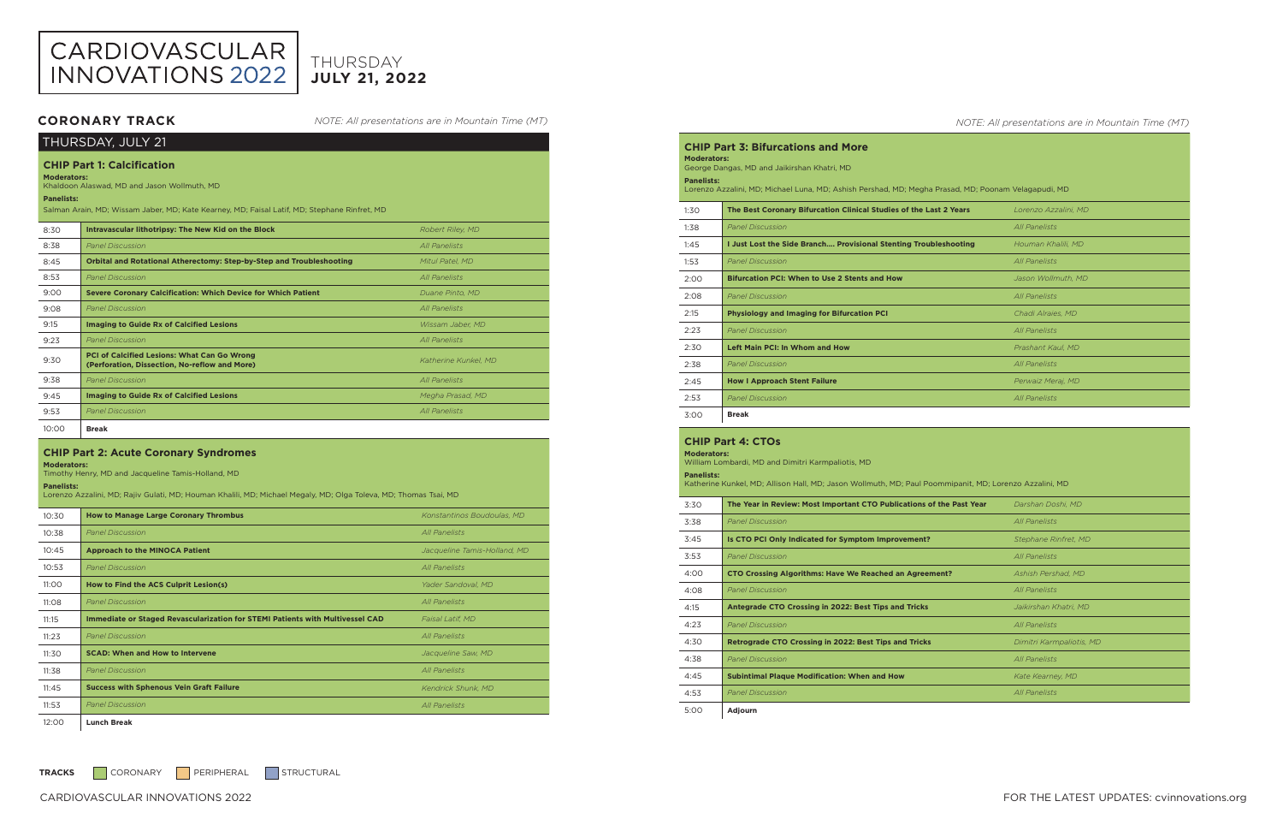| THURSDAY, JULY 21                                                                                                                                                                                                           |                                                                                                     |                      |  |
|-----------------------------------------------------------------------------------------------------------------------------------------------------------------------------------------------------------------------------|-----------------------------------------------------------------------------------------------------|----------------------|--|
| <b>CHIP Part 1: Calcification</b><br><b>Moderators:</b><br>Khaldoon Alaswad, MD and Jason Wollmuth, MD<br><b>Panelists:</b><br>Salman Arain, MD; Wissam Jaber, MD; Kate Kearney, MD; Faisal Latif, MD; Stephane Rinfret, MD |                                                                                                     |                      |  |
| 8:30                                                                                                                                                                                                                        | Intravascular lithotripsy: The New Kid on the Block                                                 | Robert Riley, MD     |  |
| 8:38                                                                                                                                                                                                                        | <b>Panel Discussion</b>                                                                             | All Panelists        |  |
| 8:45                                                                                                                                                                                                                        | Orbital and Rotational Atherectomy: Step-by-Step and Troubleshooting                                | Mitul Patel, MD      |  |
| 8:53                                                                                                                                                                                                                        | <b>Panel Discussion</b>                                                                             | All Panelists        |  |
| 9:00                                                                                                                                                                                                                        | <b>Severe Coronary Calcification: Which Device for Which Patient</b>                                | Duane Pinto, MD      |  |
| 9:08                                                                                                                                                                                                                        | <b>Panel Discussion</b>                                                                             | All Panelists        |  |
| 9:15                                                                                                                                                                                                                        | <b>Imaging to Guide Rx of Calcified Lesions</b>                                                     | Wissam Jaber, MD     |  |
| 9:23                                                                                                                                                                                                                        | <b>Panel Discussion</b>                                                                             | All Panelists        |  |
| 9:30                                                                                                                                                                                                                        | <b>PCI of Calcified Lesions: What Can Go Wrong</b><br>(Perforation, Dissection, No-reflow and More) | Katherine Kunkel, MD |  |
| 9:38                                                                                                                                                                                                                        | <b>Panel Discussion</b>                                                                             | All Panelists        |  |
| 9:45                                                                                                                                                                                                                        | <b>Imaging to Guide Rx of Calcified Lesions</b>                                                     | Megha Prasad, MD     |  |
| 9:53                                                                                                                                                                                                                        | <b>Panel Discussion</b>                                                                             | All Panelists        |  |
| 10:00                                                                                                                                                                                                                       | <b>Break</b>                                                                                        |                      |  |

### **CHIP Part 2: Acute Coronary Syndromes**

**Moderators:** 

Timothy Henry, MD and Jacqueline Tamis-Holland, MD

### **Panelists:**

Lorenzo Azzalini, MD; Rajiv Gulati, MD; Houman Khalili, MD; Michael Megaly, MD; Olga Toleva, MD; Thomas Tsai, MD

| 10:30 | <b>How to Manage Large Coronary Thrombus</b>                                  | Konstantinos Boudoulas, MD   |
|-------|-------------------------------------------------------------------------------|------------------------------|
| 10:38 | <b>Panel Discussion</b>                                                       | All Panelists                |
| 10:45 | <b>Approach to the MINOCA Patient</b>                                         | Jacqueline Tamis-Holland, MD |
| 10:53 | <b>Panel Discussion</b>                                                       | <b>All Panelists</b>         |
| 11:00 | How to Find the ACS Culprit Lesion(s)                                         | Yader Sandoval, MD           |
| 11:08 | <b>Panel Discussion</b>                                                       | <b>All Panelists</b>         |
| 11:15 | Immediate or Staged Revascularization for STEMI Patients with Multivessel CAD | Faisal Latif, MD             |
| 11:23 | <b>Panel Discussion</b>                                                       | All Panelists                |
| 11:30 | <b>SCAD: When and How to Intervene</b>                                        | Jacqueline Saw, MD           |
| 11:38 | <b>Panel Discussion</b>                                                       | <b>All Panelists</b>         |
| 11:45 | <b>Success with Sphenous Vein Graft Failure</b>                               | Kendrick Shunk, MD           |
| 11:53 | <b>Panel Discussion</b>                                                       | All Panelists                |
| 12:00 | <b>Lunch Break</b>                                                            |                              |

### *NOTE: All presentations are in Mountain Time (MT)*

**CHIP Part 3: Bifurcations and More** 

**Moderators:**  George Dangas, MD and Jaikirshan Khatri, MD **Panelists:**  Lorenzo Azzalini, MD; Michael Luna, MD; Ashish Pershad, MD; Megha Pr 1:30 **The Best Coronary Bifurcation Clinical Studies of the Last** 1:38 *Panel Discussion All Panelists* 1:45 **I Just Lost the Side Branch.... Provisional Stenting Trouble** 1:53 *Panel Discussion* 2:00 **Bifurcation PCI: When to Use 2 Stents and How** 2:08 *Panel Discussion All Panelists* **Physiology and Imaging for Bifurcation PCI** 2:23 *Panel Discussion All Panelists* 2:30 **Left Main PCI: In Whom and How** 2:38 *Panel Discussion* 2:45 **How I Approach Stent Failure** 2:53 *Panel Discussion All Panelists* 3:00 **Break**

# **CHIP Part 4: CTOs**



# **JULY 21, 2022** THURSDAY

**Moderators:**  William Lombardi, MD and Dimitri Karmpaliotis, MD

| <b>Panelists:</b><br>Katherine Kunkel, MD; Allison Hall, MD; Jason Wollmuth, MD; Paul Poommipanit, MD; Lorenzo Azzalini, MD |                                                                      |                          |  |
|-----------------------------------------------------------------------------------------------------------------------------|----------------------------------------------------------------------|--------------------------|--|
| 3:30                                                                                                                        | The Year in Review: Most Important CTO Publications of the Past Year | Darshan Doshi, MD        |  |
| 3:38                                                                                                                        | <b>Panel Discussion</b>                                              | All Panelists            |  |
| 3:45                                                                                                                        | Is CTO PCI Only Indicated for Symptom Improvement?                   | Stephane Rinfret, MD     |  |
| 3:53                                                                                                                        | <b>Panel Discussion</b>                                              | All Panelists            |  |
| 4:00                                                                                                                        | <b>CTO Crossing Algorithms: Have We Reached an Agreement?</b>        | Ashish Pershad, MD       |  |
| 4:08                                                                                                                        | <b>Panel Discussion</b>                                              | All Panelists            |  |
| 4:15                                                                                                                        | Antegrade CTO Crossing in 2022: Best Tips and Tricks                 | Jaikirshan Khatri, MD    |  |
| 4:23                                                                                                                        | <b>Panel Discussion</b>                                              | All Panelists            |  |
| 4:30                                                                                                                        | <b>Retrograde CTO Crossing in 2022: Best Tips and Tricks</b>         | Dimitri Karmpaliotis, MD |  |
| 4:38                                                                                                                        | <b>Panel Discussion</b>                                              | All Panelists            |  |
| 4:45                                                                                                                        | <b>Subintimal Plaque Modification: When and How</b>                  | Kate Kearney, MD         |  |
| 4:53                                                                                                                        | <b>Panel Discussion</b>                                              | All Panelists            |  |
| 5:00                                                                                                                        | Adjourn                                                              |                          |  |

*NOTE: All presentations are in Mountain Time (MT)*

| asad, MD; Poonam Velagapudi, MD |                      |  |  |
|---------------------------------|----------------------|--|--|
| 2 Years                         | Lorenzo Azzalini, MD |  |  |
|                                 | <b>All Panelists</b> |  |  |
| shooting                        | Houman Khalili, MD   |  |  |
|                                 | <b>All Panelists</b> |  |  |
|                                 | Jason Wollmuth, MD   |  |  |
|                                 | <b>All Panelists</b> |  |  |
|                                 | Chadi Alraies, MD    |  |  |
|                                 | <b>All Panelists</b> |  |  |
|                                 | Prashant Kaul, MD    |  |  |
|                                 | <b>All Panelists</b> |  |  |
|                                 | Perwaiz Meraj, MD    |  |  |
|                                 | <b>All Panelists</b> |  |  |

# **CORONARY TRACK**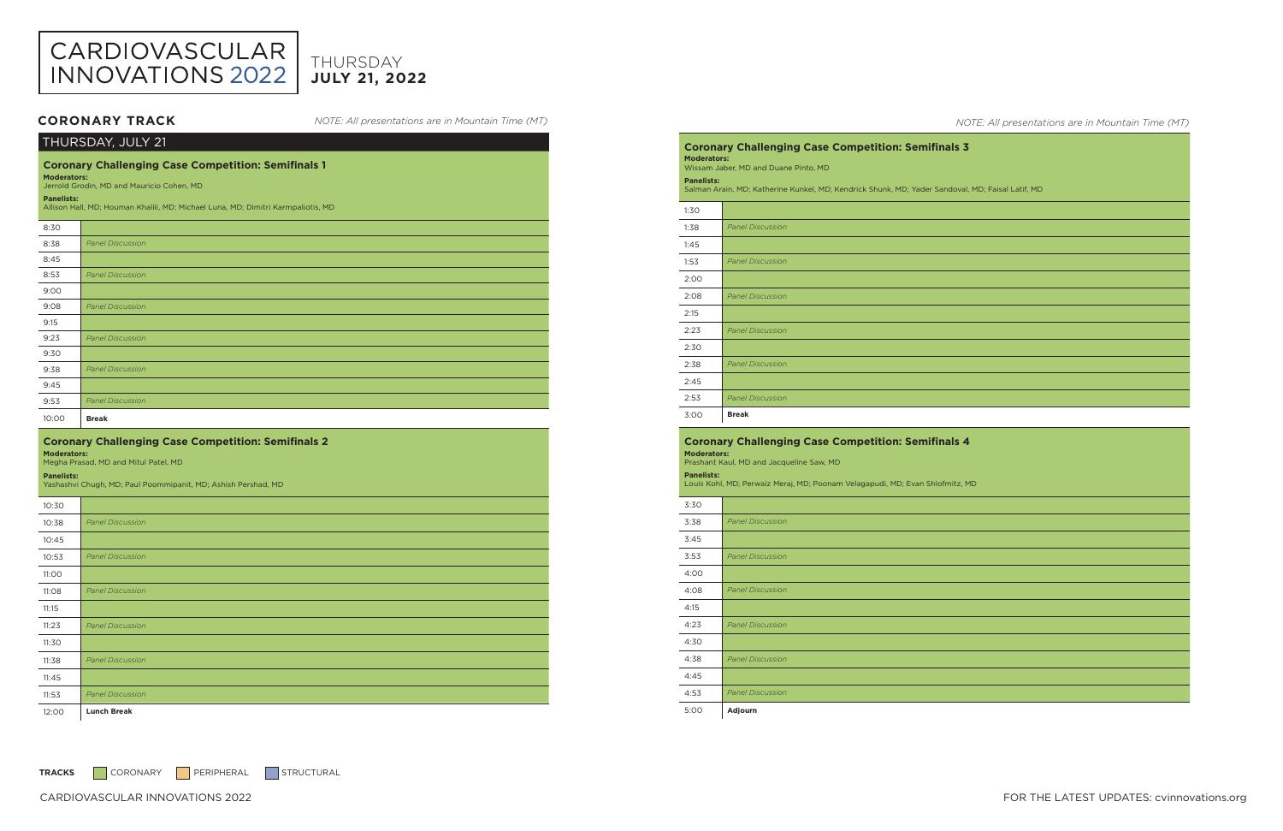CARDIOVASCULAR INNOVATIONS 2022 FOR THE LATEST UPDATES: cvinnovations.org

| THURSDAY, JULY 21                                               |                                                                                  |  |
|-----------------------------------------------------------------|----------------------------------------------------------------------------------|--|
| <b>Coronary Challenging Case Competition: Semifinals 1</b>      |                                                                                  |  |
| <b>Moderators:</b><br>Jerrold Grodin, MD and Mauricio Cohen, MD |                                                                                  |  |
| <b>Panelists:</b>                                               |                                                                                  |  |
|                                                                 | Allison Hall, MD; Houman Khalili, MD; Michael Luna, MD; Dimitri Karmpaliotis, MD |  |
| 8:30                                                            |                                                                                  |  |
| 8:38                                                            | <b>Panel Discussion</b>                                                          |  |
| 8:45                                                            |                                                                                  |  |
| 8:53                                                            | <b>Panel Discussion</b>                                                          |  |
| 9:00                                                            |                                                                                  |  |
| 9:08                                                            | <b>Panel Discussion</b>                                                          |  |
| 9:15                                                            |                                                                                  |  |
| 9:23                                                            | <b>Panel Discussion</b>                                                          |  |
| 9:30                                                            |                                                                                  |  |
| 9:38                                                            | <b>Panel Discussion</b>                                                          |  |
| 9:45                                                            |                                                                                  |  |
| 9:53                                                            | <b>Panel Discussion</b>                                                          |  |
| 10:00                                                           | <b>Break</b>                                                                     |  |
|                                                                 |                                                                                  |  |
| <b>Moderators:</b>                                              | <b>Coronary Challenging Case Competition: Semifinals 2</b>                       |  |
| <b>Panelists:</b>                                               | Megha Prasad, MD and Mitul Patel, MD                                             |  |
|                                                                 | Yashashvi Chugh, MD; Paul Poommipanit, MD; Ashish Pershad, MD                    |  |
| 10:30                                                           |                                                                                  |  |
| 10:38                                                           | <b>Panel Discussion</b>                                                          |  |
| 10:45                                                           |                                                                                  |  |
| 10:53                                                           | <b>Panel Discussion</b>                                                          |  |
| 11:00                                                           |                                                                                  |  |
| 11:08                                                           | <b>Panel Discussion</b>                                                          |  |
| 11:15                                                           |                                                                                  |  |
| 11:23                                                           | <b>Panel Discussion</b>                                                          |  |
| 11:30                                                           |                                                                                  |  |
| 11:38                                                           | <b>Panel Discussion</b>                                                          |  |
| 11:45                                                           |                                                                                  |  |
| 11:53                                                           | <b>Panel Discussion</b>                                                          |  |

| 53 | <b>Panel Discussion</b> |
|----|-------------------------|
| OO |                         |
| 08 | <b>Panel Discussion</b> |
| 15 |                         |
| 23 | <b>Panel Discussion</b> |
| 30 |                         |
| 38 | <b>Panel Discussion</b> |
| 45 |                         |
| 53 | <b>Panel Discussion</b> |



# **JULY 21, 2022** THURSDAY

*NOTE: All presentations are in Mountain Time (MT)*

# **CORONARY TRACK**

**Coronary Challenging Case Competition: Semifinals 3 Moderators:**  Wissam Jaber, MD and Duane Pinto, MD **Panelists:**  Salman Arain, MD; Katherine Kunkel, MD; Kendrick Shunk, MD; Yader Sandoval, MD; Faisal Latif, MD 1:30 1:38 *Panel Discussion* 1:45 1:53 *Panel Discussion* 2:00 2:08 *Panel Discussion* 2:15 2:23 *Panel Discussion* 2:30 2:38 *Panel Discussion*  $2:4$  $\overline{$ 2:5} 3:00 **Break Coronary Challenging Case Competition: Semifinals 4 Moderators:**  Prashant Kaul, MD and Jacqueline Saw, MD **Panelists:**  Louis Kohl, MD; Perwaiz Meraj, MD; Poonam Velagapudi, MD; Evan Shlofmitz, MD

| 3:30 |                         |
|------|-------------------------|
| 3:38 | <b>Panel Discussion</b> |
| 3:45 |                         |
| 3:53 | <b>Panel Discussion</b> |
| 4:00 |                         |
| 4:08 | <b>Panel Discussion</b> |
| 4:15 |                         |
| 4:23 | <b>Panel Discussion</b> |
| 4:30 |                         |
| 4:38 | <b>Panel Discussion</b> |
| 4:45 |                         |
| 4:53 | <b>Panel Discussion</b> |
| 5:00 | Adjourn                 |

TRACKS CORONARY PERIPHERAL STRUCTURAL

*NOTE: All presentations are in Mountain Time (MT)*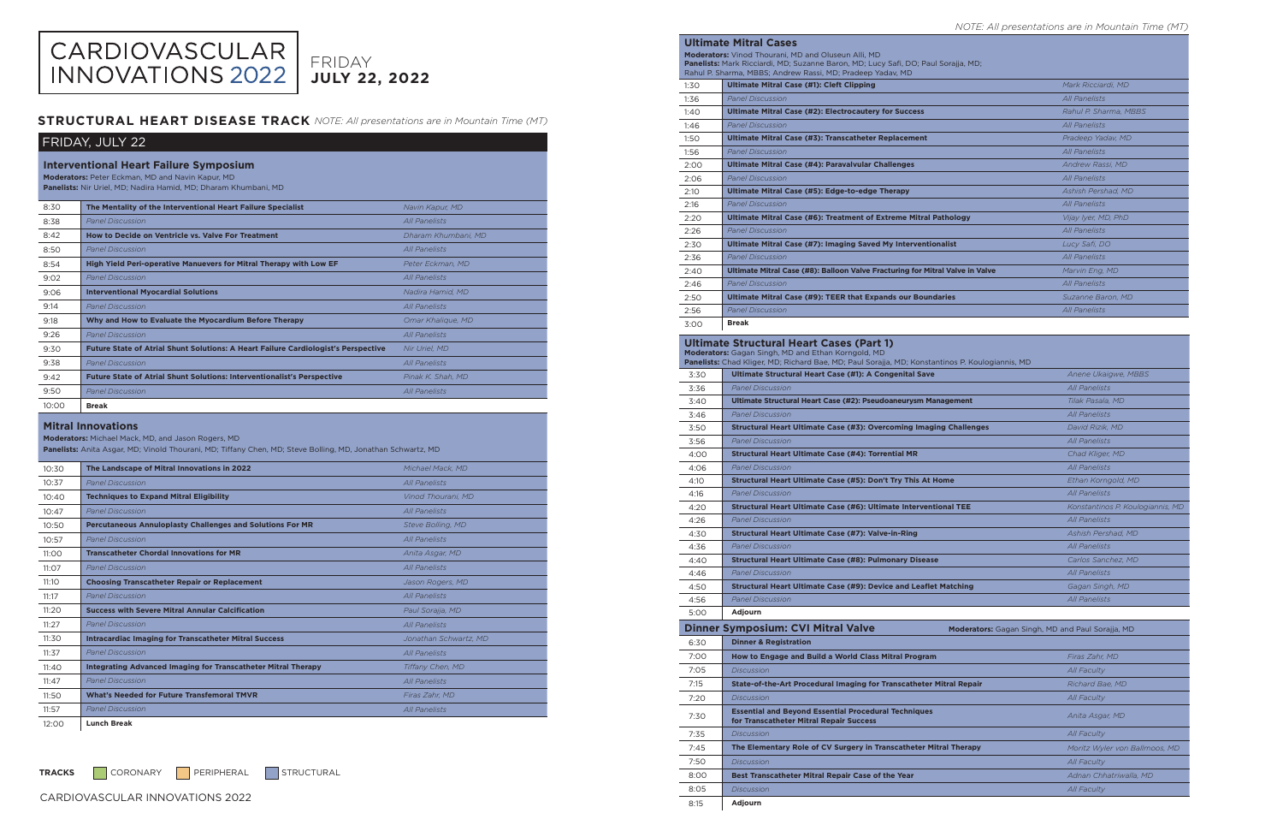CARDIOVASCULAR INNOVATIONS 2022

| FRIDAY, JULY 22                                                                                                                                                                                |                                                                                           |                       |
|------------------------------------------------------------------------------------------------------------------------------------------------------------------------------------------------|-------------------------------------------------------------------------------------------|-----------------------|
| <b>Interventional Heart Failure Symposium</b><br>Moderators: Peter Eckman, MD and Navin Kapur, MD<br>Panelists: Nir Uriel, MD; Nadira Hamid, MD; Dharam Khumbani, MD                           |                                                                                           |                       |
| 8:30                                                                                                                                                                                           | The Mentality of the Interventional Heart Failure Specialist                              | Navin Kapur, MD       |
| 8:38                                                                                                                                                                                           | <b>Panel Discussion</b>                                                                   | <b>All Panelists</b>  |
| 8:42                                                                                                                                                                                           | <b>How to Decide on Ventricle vs. Valve For Treatment</b>                                 | Dharam Khumbani, MD   |
| 8:50                                                                                                                                                                                           | <b>Panel Discussion</b>                                                                   | <b>All Panelists</b>  |
| 8:54                                                                                                                                                                                           | High Yield Peri-operative Manuevers for Mitral Therapy with Low EF                        | Peter Eckman, MD      |
| 9:02                                                                                                                                                                                           | <b>Panel Discussion</b>                                                                   | <b>All Panelists</b>  |
| 9:06                                                                                                                                                                                           | <b>Interventional Myocardial Solutions</b>                                                | Nadira Hamid, MD      |
| 9:14                                                                                                                                                                                           | <b>Panel Discussion</b>                                                                   | <b>All Panelists</b>  |
| 9:18                                                                                                                                                                                           | Why and How to Evaluate the Myocardium Before Therapy                                     | Omar Khalique, MD     |
| 9:26                                                                                                                                                                                           | <b>Panel Discussion</b>                                                                   | <b>All Panelists</b>  |
| 9:30                                                                                                                                                                                           | <b>Future State of Atrial Shunt Solutions: A Heart Failure Cardiologist's Perspective</b> | Nir Uriel, MD         |
| 9:38                                                                                                                                                                                           | <b>Panel Discussion</b>                                                                   | <b>All Panelists</b>  |
| 9:42                                                                                                                                                                                           | <b>Future State of Atrial Shunt Solutions: Interventionalist's Perspective</b>            | Pinak K. Shah, MD     |
| 9:50                                                                                                                                                                                           | <b>Panel Discussion</b>                                                                   | <b>All Panelists</b>  |
| 10:00                                                                                                                                                                                          | <b>Break</b>                                                                              |                       |
| <b>Mitral Innovations</b><br>Moderators: Michael Mack, MD, and Jason Rogers, MD<br>Panelists: Anita Asgar, MD; Vinold Thourani, MD; Tiffany Chen, MD; Steve Bolling, MD, Jonathan Schwartz, MD |                                                                                           |                       |
| 10:30                                                                                                                                                                                          | The Landscape of Mitral Innovations in 2022                                               | Michael Mack, MD      |
| 10:37                                                                                                                                                                                          | <b>Panel Discussion</b>                                                                   | <b>All Panelists</b>  |
| 10:40                                                                                                                                                                                          | <b>Techniques to Expand Mitral Eligibility</b>                                            | Vinod Thourani, MD    |
| 10:47                                                                                                                                                                                          | <b>Panel Discussion</b>                                                                   | All Panelists         |
| 10:50                                                                                                                                                                                          | <b>Percutaneous Annuloplasty Challenges and Solutions For MR</b>                          | Steve Bolling, MD     |
| 10:57                                                                                                                                                                                          | <b>Panel Discussion</b>                                                                   | <b>All Panelists</b>  |
| 11:00                                                                                                                                                                                          | <b>Transcatheter Chordal Innovations for MR</b>                                           | Anita Asgar, MD       |
| 11:07                                                                                                                                                                                          | <b>Panel Discussion</b>                                                                   | <b>All Panelists</b>  |
| 11:10                                                                                                                                                                                          | <b>Choosing Transcatheter Repair or Replacement</b>                                       | Jason Rogers, MD      |
| 11:17                                                                                                                                                                                          | <b>Panel Discussion</b>                                                                   | All Panelists         |
| 11:20                                                                                                                                                                                          | <b>Success with Severe Mitral Annular Calcification</b>                                   | Paul Sorajja, MD      |
| 11:27                                                                                                                                                                                          | <b>Panel Discussion</b>                                                                   | All Panelists         |
| 11:30                                                                                                                                                                                          | <b>Intracardiac Imaging for Transcatheter Mitral Success</b>                              | Jonathan Schwartz, MD |
| 11:37                                                                                                                                                                                          | <b>Panel Discussion</b>                                                                   | <b>All Panelists</b>  |
| 11:40                                                                                                                                                                                          | <b>Integrating Advanced Imaging for Transcatheter Mitral Therapy</b>                      | Tiffany Chen, MD      |

# CARDIOVASCULAR<br>INNOVATIONS 2022 FRIDAY **JULY 22, 2022**

# **STRUCTURAL HEART DISEASE TRACK** NOTE: All presentations are in Mountain Time (MT)

11:47 *Panel Discussion All Panelists* 11:50 **What's Needed for Future Transfemoral TMVR** *Firas Zahr, MD* 11:57 *Panel Discussion All Panelists*

12:00 **Lunch Break**

TRACKS CORONARY PERIPHERAL STRUCTURAL

# **Ultimate Mitral Cases**

| <b>Moderators:</b> Vinod Thourani, MD and Oluseun Alli, MD<br>Panelists: Mark Ricciardi, MD; Suzanne Baron, MD; Lucy Safi, DO; Paul Sorajia, MD;<br>Rahul P. Sharma, MBBS; Andrew Rassi, MD; Pradeep Yaday, MD |                                                                               |                       |  |
|----------------------------------------------------------------------------------------------------------------------------------------------------------------------------------------------------------------|-------------------------------------------------------------------------------|-----------------------|--|
| 1:30                                                                                                                                                                                                           | <b>Ultimate Mitral Case (#1): Cleft Clipping</b>                              | Mark Ricciardi, MD    |  |
| 1:36                                                                                                                                                                                                           | <b>Panel Discussion</b>                                                       | All Panelists         |  |
| 1:40                                                                                                                                                                                                           | <b>Ultimate Mitral Case (#2): Electrocautery for Success</b>                  | Rahul P. Sharma, MBBS |  |
| 1:46                                                                                                                                                                                                           | <b>Panel Discussion</b>                                                       | All Panelists         |  |
| 1:50                                                                                                                                                                                                           | Ultimate Mitral Case (#3): Transcatheter Replacement                          | Pradeep Yadav, MD     |  |
| 1:56                                                                                                                                                                                                           | <b>Panel Discussion</b>                                                       | All Panelists         |  |
| 2:00                                                                                                                                                                                                           | Ultimate Mitral Case (#4): Paravalvular Challenges                            | Andrew Rassi, MD      |  |
| 2:06                                                                                                                                                                                                           | <b>Panel Discussion</b>                                                       | All Panelists         |  |
| 2:10                                                                                                                                                                                                           | Ultimate Mitral Case (#5): Edge-to-edge Therapy                               | Ashish Pershad, MD    |  |
| 2:16                                                                                                                                                                                                           | <b>Panel Discussion</b>                                                       | All Panelists         |  |
| 2:20                                                                                                                                                                                                           | Ultimate Mitral Case (#6): Treatment of Extreme Mitral Pathology              | Vijay Iyer, MD, PhD   |  |
| 2:26                                                                                                                                                                                                           | <b>Panel Discussion</b>                                                       | All Panelists         |  |
| 2:30                                                                                                                                                                                                           | Ultimate Mitral Case (#7): Imaging Saved My Interventionalist                 | Lucy Safi, DO         |  |
| 2:36                                                                                                                                                                                                           | <b>Panel Discussion</b>                                                       | All Panelists         |  |
| 2:40                                                                                                                                                                                                           | Ultimate Mitral Case (#8): Balloon Valve Fracturing for Mitral Valve in Valve | Marvin Eng, MD        |  |
| 2:46                                                                                                                                                                                                           | <b>Panel Discussion</b>                                                       | <b>All Panelists</b>  |  |
| 2:50                                                                                                                                                                                                           | Ultimate Mitral Case (#9): TEER that Expands our Boundaries                   | Suzanne Baron, MD     |  |
| 2:56                                                                                                                                                                                                           | <b>Panel Discussion</b>                                                       | All Panelists         |  |
| 3:00                                                                                                                                                                                                           | <b>Break</b>                                                                  |                       |  |

# **Ultimate Structural Heart Cases (Part 1)**

| Moderators: Gagan Singh, MD and Ethan Korngold, MD<br>Panelists: Chad Kliger, MD; Richard Bae, MD; Paul Sorajja, MD; Konstantinos P. Koulogiannis, MD |                                                                                                        |                                  |  |
|-------------------------------------------------------------------------------------------------------------------------------------------------------|--------------------------------------------------------------------------------------------------------|----------------------------------|--|
| 3:30                                                                                                                                                  | Ultimate Structural Heart Case (#1): A Congenital Save                                                 | Anene Ukaigwe, MBBS              |  |
| 3:36                                                                                                                                                  | <b>Panel Discussion</b>                                                                                | <b>All Panelists</b>             |  |
| 3:40                                                                                                                                                  | Ultimate Structural Heart Case (#2): Pseudoaneurysm Management                                         | Tilak Pasala, MD                 |  |
| 3:46                                                                                                                                                  | <b>Panel Discussion</b>                                                                                | All Panelists                    |  |
| 3:50                                                                                                                                                  | <b>Structural Heart Ultimate Case (#3): Overcoming Imaging Challenges</b>                              | David Rizik, MD                  |  |
| 3:56                                                                                                                                                  | <b>Panel Discussion</b>                                                                                | All Panelists                    |  |
| 4:00                                                                                                                                                  | <b>Structural Heart Ultimate Case (#4): Torrential MR</b>                                              | Chad Kliger, MD                  |  |
| 4:06                                                                                                                                                  | <b>Panel Discussion</b>                                                                                | <b>All Panelists</b>             |  |
| 4:10                                                                                                                                                  | Structural Heart Ultimate Case (#5): Don't Try This At Home                                            | Ethan Korngold, MD               |  |
| 4:16                                                                                                                                                  | <b>Panel Discussion</b>                                                                                | <b>All Panelists</b>             |  |
| 4:20                                                                                                                                                  | <b>Structural Heart Ultimate Case (#6): Ultimate Interventional TEE</b>                                | Konstantinos P. Koulogiannis, MD |  |
| 4:26                                                                                                                                                  | <b>Panel Discussion</b>                                                                                | <b>All Panelists</b>             |  |
| 4:30                                                                                                                                                  | <b>Structural Heart Ultimate Case (#7): Valve-in-Ring</b>                                              | Ashish Pershad, MD               |  |
| 4:36                                                                                                                                                  | <b>Panel Discussion</b>                                                                                | <b>All Panelists</b>             |  |
| 4:40                                                                                                                                                  | <b>Structural Heart Ultimate Case (#8): Pulmonary Disease</b>                                          | Carlos Sanchez, MD               |  |
| 4:46                                                                                                                                                  | <b>Panel Discussion</b>                                                                                | <b>All Panelists</b>             |  |
| 4:50                                                                                                                                                  | <b>Structural Heart Ultimate Case (#9): Device and Leaflet Matching</b>                                | Gagan Singh, MD                  |  |
| 4:56                                                                                                                                                  | <b>Panel Discussion</b>                                                                                | <b>All Panelists</b>             |  |
| 5:00                                                                                                                                                  | Adjourn                                                                                                |                                  |  |
|                                                                                                                                                       | <b>Dinner Symposium: CVI Mitral Valve</b><br>Moderators: Gagan Singh, MD and Paul Sorajja, MD          |                                  |  |
| 6:30                                                                                                                                                  | <b>Dinner &amp; Registration</b>                                                                       |                                  |  |
| 7:00                                                                                                                                                  | How to Engage and Build a World Class Mitral Program                                                   | Firas Zahr, MD                   |  |
| 7:05                                                                                                                                                  | <b>Discussion</b>                                                                                      | <b>All Faculty</b>               |  |
| 7:15                                                                                                                                                  | State-of-the-Art Procedural Imaging for Transcatheter Mitral Repair                                    | Richard Bae. MD                  |  |
| 7:20                                                                                                                                                  | <b>Discussion</b>                                                                                      | <b>All Faculty</b>               |  |
| 7:30                                                                                                                                                  | <b>Essential and Beyond Essential Procedural Techniques</b><br>for Transcatheter Mitral Repair Success | Anita Asgar, MD                  |  |
| 7:35                                                                                                                                                  | <b>Discussion</b>                                                                                      | <b>All Faculty</b>               |  |
| 7:45                                                                                                                                                  | The Elementary Role of CV Surgery in Transcatheter Mitral Therapy                                      | Moritz Wyler von Ballmoos, MD    |  |
| 7:50                                                                                                                                                  | <b>Discussion</b>                                                                                      | All Faculty                      |  |
| 8:00                                                                                                                                                  | Best Transcatheter Mitral Repair Case of the Year                                                      | Adnan Chhatriwalla, MD           |  |
| 8:05                                                                                                                                                  | <b>Discussion</b>                                                                                      | <b>All Faculty</b>               |  |
| 8:15                                                                                                                                                  | Adjourn                                                                                                |                                  |  |

### *NOTE: All presentations are in Mountain Time (MT)*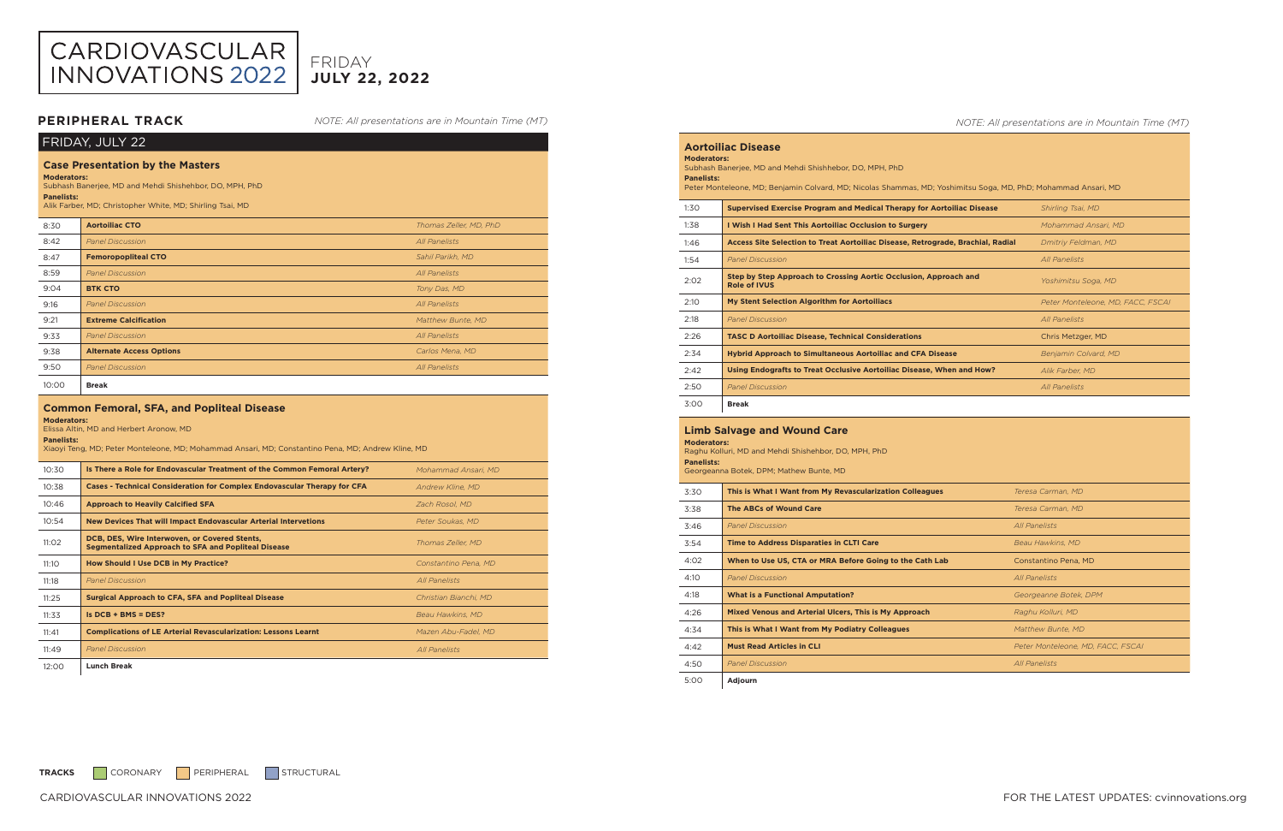| FRIDAY, JULY 22                                                                                                                                                                                            |                                 |                        |  |
|------------------------------------------------------------------------------------------------------------------------------------------------------------------------------------------------------------|---------------------------------|------------------------|--|
| <b>Case Presentation by the Masters</b><br><b>Moderators:</b><br>Subhash Banerjee, MD and Mehdi Shishehbor, DO, MPH, PhD<br><b>Panelists:</b><br>Alik Farber, MD; Christopher White, MD; Shirling Tsai, MD |                                 |                        |  |
| 8:30                                                                                                                                                                                                       | <b>Aortoiliac CTO</b>           | Thomas Zeller, MD, PhD |  |
| 8:42                                                                                                                                                                                                       | <b>Panel Discussion</b>         | All Panelists          |  |
| 8:47                                                                                                                                                                                                       | <b>Femoropopliteal CTO</b>      | Sahil Parikh, MD       |  |
| 8:59                                                                                                                                                                                                       | <b>Panel Discussion</b>         | All Panelists          |  |
| 9:04                                                                                                                                                                                                       | <b>BTK CTO</b>                  | Tony Das, MD           |  |
| 9:16                                                                                                                                                                                                       | <b>Panel Discussion</b>         | All Panelists          |  |
| 9:21                                                                                                                                                                                                       | <b>Extreme Calcification</b>    | Matthew Bunte, MD      |  |
| 9:33                                                                                                                                                                                                       | <b>Panel Discussion</b>         | <b>All Panelists</b>   |  |
| 9:38                                                                                                                                                                                                       | <b>Alternate Access Options</b> | Carlos Mena, MD        |  |
| 9:50                                                                                                                                                                                                       | <b>Panel Discussion</b>         | <b>All Panelists</b>   |  |
| 10:00                                                                                                                                                                                                      | <b>Break</b>                    |                        |  |
| Common Femoral SEA and Donliteal Disease                                                                                                                                                                   |                                 |                        |  |

| Common remotal, Sr.A. and Popillear Disease<br><b>Moderators:</b><br>Elissa Altin, MD and Herbert Aronow, MD<br><b>Panelists:</b><br>Xiaoyi Teng, MD; Peter Monteleone, MD; Mohammad Ansari, MD; Constantino Pena, MD; Andrew Kline, MD |                                                                                                             |                         |
|-----------------------------------------------------------------------------------------------------------------------------------------------------------------------------------------------------------------------------------------|-------------------------------------------------------------------------------------------------------------|-------------------------|
| 10:30                                                                                                                                                                                                                                   | Is There a Role for Endovascular Treatment of the Common Femoral Artery?                                    | Mohammad Ansari, MD     |
| 10:38                                                                                                                                                                                                                                   | <b>Cases - Technical Consideration for Complex Endovascular Therapy for CFA</b>                             | <b>Andrew Kline, MD</b> |
| 10:46                                                                                                                                                                                                                                   | <b>Approach to Heavily Calcified SFA</b>                                                                    | Zach Rosol, MD          |
| 10:54                                                                                                                                                                                                                                   | <b>New Devices That will Impact Endovascular Arterial Intervetions</b>                                      | Peter Soukas, MD        |
| 11:02                                                                                                                                                                                                                                   | DCB, DES, Wire Interwoven, or Covered Stents,<br><b>Segmentalized Approach to SFA and Popliteal Disease</b> | Thomas Zeller, MD       |
| 11:10                                                                                                                                                                                                                                   | How Should I Use DCB in My Practice?                                                                        | Constantino Pena. MD    |
| 11:18                                                                                                                                                                                                                                   | <b>Panel Discussion</b>                                                                                     | <b>All Panelists</b>    |
| 11:25                                                                                                                                                                                                                                   | <b>Surgical Approach to CFA, SFA and Popliteal Disease</b>                                                  | Christian Bianchi, MD   |
| 11:33                                                                                                                                                                                                                                   | $IS$ DCB + BMS = DES?                                                                                       | Beau Hawkins, MD        |
| 11:41                                                                                                                                                                                                                                   | <b>Complications of LE Arterial Revascularization: Lessons Learnt</b>                                       | Mazen Abu-Fadel, MD     |
| 11:49                                                                                                                                                                                                                                   | <b>Panel Discussion</b>                                                                                     | <b>All Panelists</b>    |
|                                                                                                                                                                                                                                         |                                                                                                             |                         |

12:00 **Lunch Break**

### *NOTE: All presentations are in Mountain Time (MT)*

| <b>Aortoiliac Disease</b>                                                                                      |                                                                                         |                                   |  |  |
|----------------------------------------------------------------------------------------------------------------|-----------------------------------------------------------------------------------------|-----------------------------------|--|--|
| <b>Moderators:</b>                                                                                             |                                                                                         |                                   |  |  |
| Subhash Banerjee, MD and Mehdi Shishhebor, DO, MPH, PhD<br><b>Panelists:</b>                                   |                                                                                         |                                   |  |  |
| Peter Monteleone, MD; Benjamin Colvard, MD; Nicolas Shammas, MD; Yoshimitsu Soga, MD, PhD; Mohammad Ansari, MD |                                                                                         |                                   |  |  |
|                                                                                                                |                                                                                         |                                   |  |  |
| 1:30                                                                                                           | Supervised Exercise Program and Medical Therapy for Aortoiliac Disease                  | Shirling Tsai, MD                 |  |  |
| 1:38                                                                                                           | I Wish I Had Sent This Aortoiliac Occlusion to Surgery                                  | Mohammad Ansari, MD               |  |  |
| 1:46                                                                                                           | Access Site Selection to Treat Aortoiliac Disease, Retrograde, Brachial, Radial         | Dmitriy Feldman, MD               |  |  |
| 1:54                                                                                                           | <b>Panel Discussion</b>                                                                 | <b>All Panelists</b>              |  |  |
| 2:02                                                                                                           | Step by Step Approach to Crossing Aortic Occlusion, Approach and<br><b>Role of IVUS</b> | Yoshimitsu Soga, MD               |  |  |
| 2:10                                                                                                           | <b>My Stent Selection Algorithm for Aortoiliacs</b>                                     | Peter Monteleone, MD, FACC, FSCAI |  |  |
| 2:18                                                                                                           | <b>Panel Discussion</b>                                                                 | <b>All Panelists</b>              |  |  |
| 2:26                                                                                                           | <b>TASC D Aortoiliac Disease, Technical Considerations</b>                              | Chris Metzger, MD                 |  |  |
| 2:34                                                                                                           | <b>Hybrid Approach to Simultaneous Aortoiliac and CFA Disease</b>                       | Benjamin Colvard, MD              |  |  |
| 2:42                                                                                                           | Using Endografts to Treat Occlusive Aortoiliac Disease, When and How?                   | Alik Farber, MD                   |  |  |
| 2:50                                                                                                           | <b>Panel Discussion</b>                                                                 | <b>All Panelists</b>              |  |  |
| 3:00                                                                                                           | <b>Break</b>                                                                            |                                   |  |  |



# **JULY 22, 2022** FRIDAY

| <b>Limb Salvage and Wound Care</b><br><b>Moderators:</b><br>Raghu Kolluri, MD and Mehdi Shishehbor, DO, MPH, PhD<br><b>Panelists:</b><br>Georgeanna Botek, DPM; Mathew Bunte, MD |                                                          |                                   |
|----------------------------------------------------------------------------------------------------------------------------------------------------------------------------------|----------------------------------------------------------|-----------------------------------|
| 3:30                                                                                                                                                                             | This is What I Want from My Revascularization Colleagues | Teresa Carman, MD                 |
| 3:38                                                                                                                                                                             | <b>The ABCs of Wound Care</b>                            | Teresa Carman, MD                 |
| 3:46                                                                                                                                                                             | <b>Panel Discussion</b>                                  | All Panelists                     |
| 3:54                                                                                                                                                                             | <b>Time to Address Disparaties in CLTI Care</b>          | Beau Hawkins, MD                  |
| 4:02                                                                                                                                                                             | When to Use US, CTA or MRA Before Going to the Cath Lab  | Constantino Pena, MD              |
| 4:10                                                                                                                                                                             | <b>Panel Discussion</b>                                  | <b>All Panelists</b>              |
| 4:18                                                                                                                                                                             | <b>What is a Functional Amputation?</b>                  | Georgeanne Botek, DPM             |
| 4:26                                                                                                                                                                             | Mixed Venous and Arterial Ulcers, This is My Approach    | Raghu Kolluri, MD                 |
| 4:34                                                                                                                                                                             | This is What I Want from My Podiatry Colleagues          | Matthew Bunte, MD                 |
| 4:42                                                                                                                                                                             | <b>Must Read Articles in CLI</b>                         | Peter Monteleone, MD, FACC, FSCAI |
| 4:50                                                                                                                                                                             | <b>Panel Discussion</b>                                  | <b>All Panelists</b>              |
| 5:00                                                                                                                                                                             | Adjourn                                                  |                                   |

TRACKS CORONARY PERIPHERAL STRUCTURAL

*NOTE: All presentations are in Mountain Time (MT)*

# **PERIPHERAL TRACK**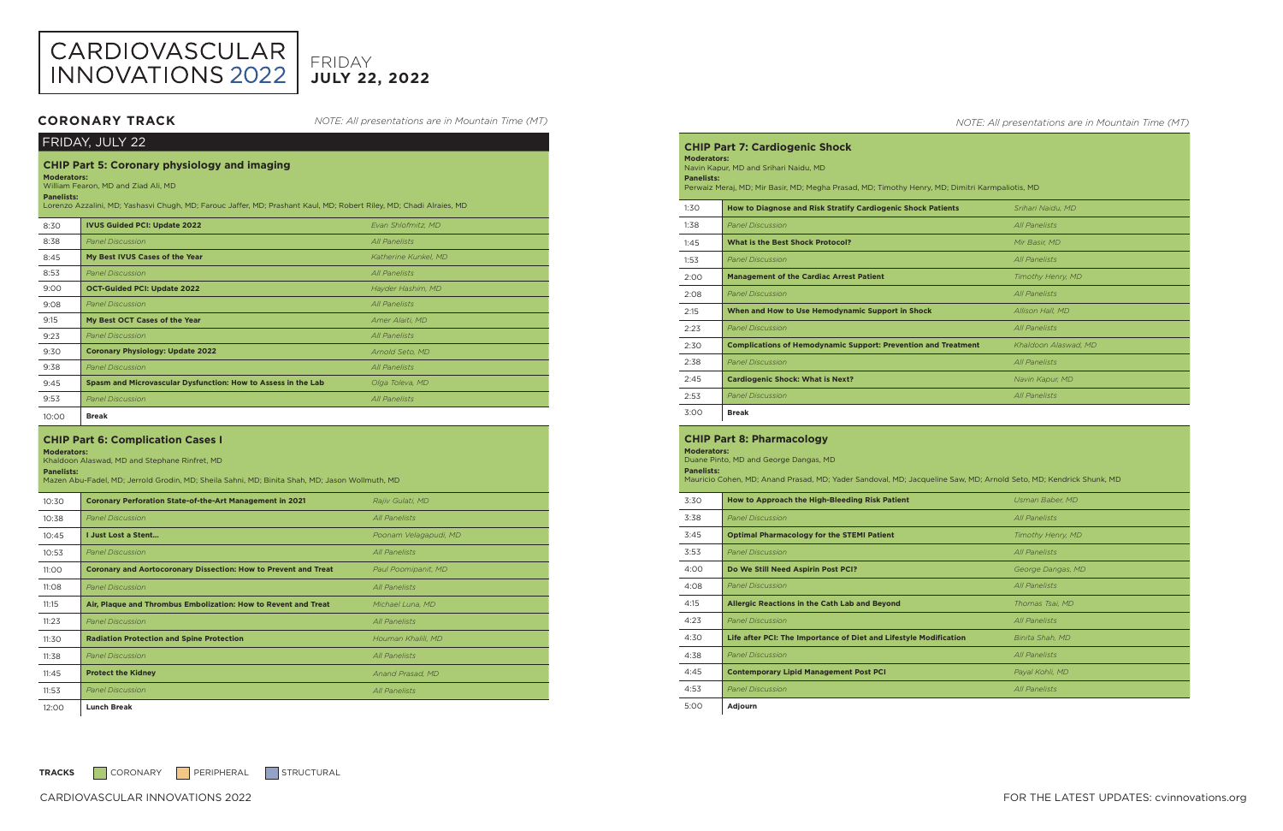| FRIDAY, JULY 22                                                                                                                                                                                                                                              |                                                               |                      |
|--------------------------------------------------------------------------------------------------------------------------------------------------------------------------------------------------------------------------------------------------------------|---------------------------------------------------------------|----------------------|
| <b>CHIP Part 5: Coronary physiology and imaging</b><br><b>Moderators:</b><br>William Fearon, MD and Ziad Ali, MD<br><b>Panelists:</b><br>Lorenzo Azzalini, MD; Yashasvi Chugh, MD; Farouc Jaffer, MD; Prashant Kaul, MD; Robert Riley, MD; Chadi Alraies, MD |                                                               |                      |
| 8:30                                                                                                                                                                                                                                                         | <b>IVUS Guided PCI: Update 2022</b>                           | Evan Shlofmitz, MD   |
| 8:38                                                                                                                                                                                                                                                         | <b>Panel Discussion</b>                                       | <b>All Panelists</b> |
| 8:45                                                                                                                                                                                                                                                         | My Best IVUS Cases of the Year                                | Katherine Kunkel, MD |
| 8:53                                                                                                                                                                                                                                                         | <b>Panel Discussion</b>                                       | <b>All Panelists</b> |
| 9:00                                                                                                                                                                                                                                                         | <b>OCT-Guided PCI: Update 2022</b>                            | Hayder Hashim, MD    |
| 9:08                                                                                                                                                                                                                                                         | <b>Panel Discussion</b>                                       | All Panelists        |
| 9:15                                                                                                                                                                                                                                                         | My Best OCT Cases of the Year                                 | Amer Alaiti, MD      |
| 9:23                                                                                                                                                                                                                                                         | <b>Panel Discussion</b>                                       | <b>All Panelists</b> |
| 9:30                                                                                                                                                                                                                                                         | <b>Coronary Physiology: Update 2022</b>                       | Arnold Seto, MD      |
| 9:38                                                                                                                                                                                                                                                         | <b>Panel Discussion</b>                                       | <b>All Panelists</b> |
| 9:45                                                                                                                                                                                                                                                         | Spasm and Microvascular Dysfunction: How to Assess in the Lab | Olga Toleva, MD      |
| 9:53                                                                                                                                                                                                                                                         | <b>Panel Discussion</b>                                       | <b>All Panelists</b> |
| 10:00                                                                                                                                                                                                                                                        | <b>Break</b>                                                  |                      |

### **CHIP Part 6: Complication Cases I**

**Moderators:**  Khaldoon Alaswad, MD and Stephane Rinfret, MD

### **Panelists:**

Mazen Abu-Fadel, MD; Jerrold Grodin, MD; Sheila Sahni, MD; Binita Shah, MD; Jason Wollmuth, MD

| 10:30 | <b>Coronary Perforation State-of-the-Art Management in 2021</b>        | Rajiv Gulati, MD      |
|-------|------------------------------------------------------------------------|-----------------------|
| 10:38 | <b>Panel Discussion</b>                                                | <b>All Panelists</b>  |
| 10:45 | <b>I Just Lost a Stent</b>                                             | Poonam Velagapudi, MD |
| 10:53 | <b>Panel Discussion</b>                                                | <b>All Panelists</b>  |
| 11:00 | <b>Coronary and Aortocoronary Dissection: How to Prevent and Treat</b> | Paul Poomipanit, MD   |
| 11:08 | <b>Panel Discussion</b>                                                | <b>All Panelists</b>  |
| 11:15 | Air, Plaque and Thrombus Embolization: How to Revent and Treat         | Michael Luna, MD      |
| 11:23 | <b>Panel Discussion</b>                                                | All Panelists         |
| 11:30 | <b>Radiation Protection and Spine Protection</b>                       | Houman Khalili, MD    |
| 11:38 | <b>Panel Discussion</b>                                                | <b>All Panelists</b>  |
| 11:45 | <b>Protect the Kidney</b>                                              | Anand Prasad, MD      |
| 11:53 | <b>Panel Discussion</b>                                                | All Panelists         |
| 12:00 | <b>Lunch Break</b>                                                     |                       |

### *NOTE: All presentations are in Mountain Time (MT)*

**CHIP Part 7: Cardiogenic Shock Moderators:**  Navin Kapur, MD and Srihari Naidu, MD **Panelists:**  Perwaiz Meraj, MD; Mir Basir, MD; Megha Prasad, MD; Timothy Henry, MI 1:30 **How to Diagnose and Risk Stratify Cardiogenic Shock Pati** 1:38 *Panel Discussion All Panelists* 1:45 **What is the Best Shock Protocol?** 1:53 *Panel Discussion* 2:00 **Management of the Cardiac Arrest Patient** *Timothy Henry, MD*  2:08 *Panel Discussion All Panelists* **2:15** When and How to Use Hemodynamic Support in Shock 2:23 *Panel Discussion All Panelists* 2:30 **Complications of Hemodynamic Support: Prevention and** 2:38 *Panel Discussion All Panelists*

2:45 **Cardiogenic Shock: What is Next?** 

2:53 *Panel Discussion* 

3:00 **Break**



# **JULY 22, 2022** FRIDAY

| <b>CHIP Part 8: Pharmacology</b><br><b>Moderators:</b><br>Duane Pinto, MD and George Dangas, MD<br><b>Panelists:</b><br>Mauricio Cohen, MD; Anand Prasad, MD; Yader Sandoval, MD; Jacqueline Saw, MD; Arnold Seto, MD; Kendrick Shunk, MD |                                                                   |                      |
|-------------------------------------------------------------------------------------------------------------------------------------------------------------------------------------------------------------------------------------------|-------------------------------------------------------------------|----------------------|
| 3:30                                                                                                                                                                                                                                      | How to Approach the High-Bleeding Risk Patient                    | Usman Baber, MD      |
| 3:38                                                                                                                                                                                                                                      | <b>Panel Discussion</b>                                           | <b>All Panelists</b> |
| 3:45                                                                                                                                                                                                                                      | <b>Optimal Pharmacology for the STEMI Patient</b>                 | Timothy Henry, MD    |
| 3:53                                                                                                                                                                                                                                      | <b>Panel Discussion</b>                                           | <b>All Panelists</b> |
| 4:00                                                                                                                                                                                                                                      | Do We Still Need Aspirin Post PCI?                                | George Dangas, MD    |
| 4:08                                                                                                                                                                                                                                      | <b>Panel Discussion</b>                                           | <b>All Panelists</b> |
| 4:15                                                                                                                                                                                                                                      | <b>Allergic Reactions in the Cath Lab and Beyond</b>              | Thomas Tsai, MD      |
| 4:23                                                                                                                                                                                                                                      | <b>Panel Discussion</b>                                           | <b>All Panelists</b> |
| 4:30                                                                                                                                                                                                                                      | Life after PCI: The Importance of Diet and Lifestyle Modification | Binita Shah, MD      |
| 4:38                                                                                                                                                                                                                                      | <b>Panel Discussion</b>                                           | <b>All Panelists</b> |
| 4:45                                                                                                                                                                                                                                      | <b>Contemporary Lipid Management Post PCI</b>                     | Payal Kohli, MD      |
| 4:53                                                                                                                                                                                                                                      | <b>Panel Discussion</b>                                           | <b>All Panelists</b> |
| 5:00                                                                                                                                                                                                                                      | Adjourn                                                           |                      |

TRACKS CORONARY PERIPHERAL STRUCTURAL

*NOTE: All presentations are in Mountain Time (MT)*

| ); Dimitri Karmpaliotis, MD |                          |  |
|-----------------------------|--------------------------|--|
|                             |                          |  |
| ents                        | Srihari Naidu, MD        |  |
|                             | <b>All Panelists</b>     |  |
|                             | Mir Basir, MD            |  |
|                             | <b>All Panelists</b>     |  |
|                             | <b>Timothy Henry, MD</b> |  |
|                             | <b>All Panelists</b>     |  |
|                             | Allison Hall, MD         |  |
|                             | <b>All Panelists</b>     |  |
| <b>Treatment</b>            | Khaldoon Alaswad, MD     |  |
|                             | <b>All Panelists</b>     |  |
|                             | Navin Kapur, MD          |  |
|                             | <b>All Panelists</b>     |  |

# **CORONARY TRACK**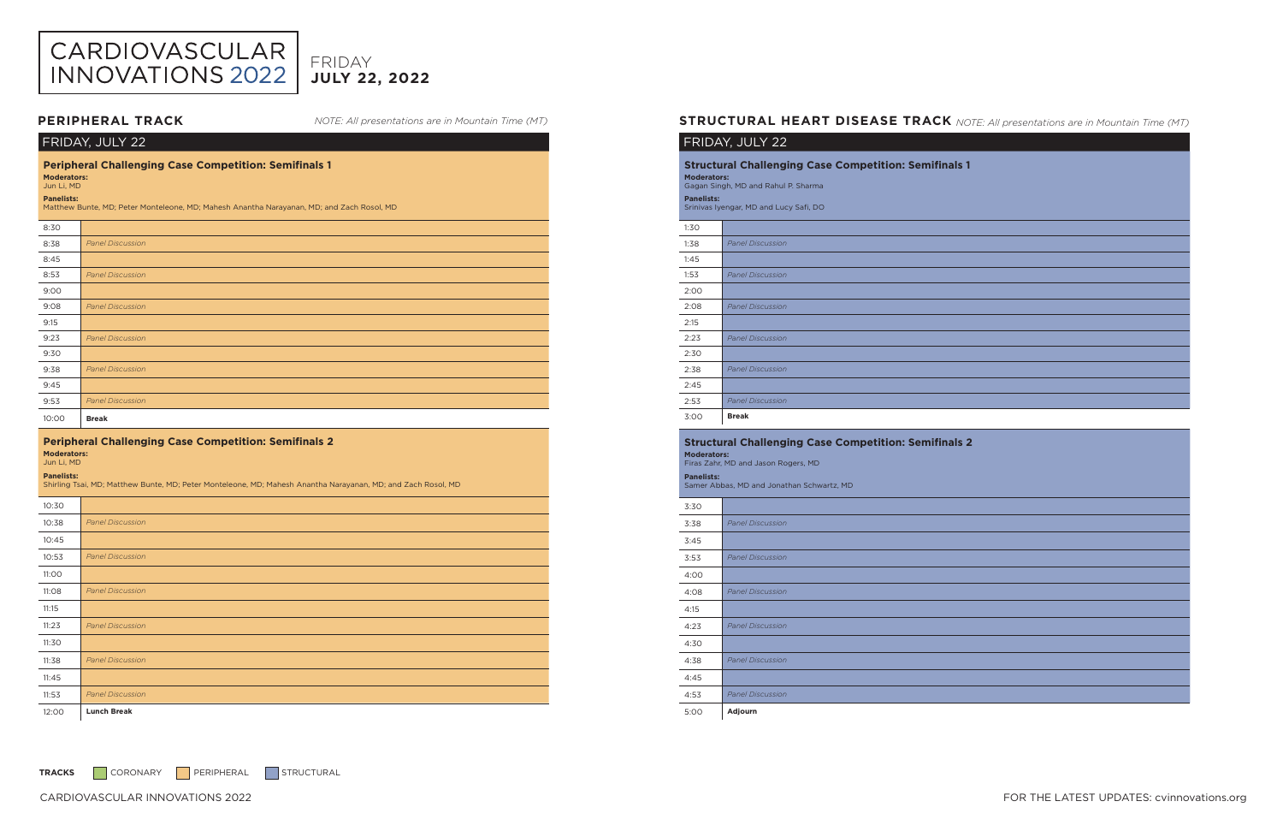CARDIOVASCULAR INNOVATIONS 2022 FOR THE LATEST UPDATES: cvinnovations.org

| FRIDAY, JULY 22                                                                                                                                                                                                    |                                                                                                              |  |
|--------------------------------------------------------------------------------------------------------------------------------------------------------------------------------------------------------------------|--------------------------------------------------------------------------------------------------------------|--|
| <b>Peripheral Challenging Case Competition: Semifinals 1</b><br><b>Moderators:</b><br>Jun Li, MD<br><b>Panelists:</b><br>Matthew Bunte, MD; Peter Monteleone, MD; Mahesh Anantha Narayanan, MD; and Zach Rosol, MD |                                                                                                              |  |
| 8:30                                                                                                                                                                                                               |                                                                                                              |  |
| 8:38                                                                                                                                                                                                               | <b>Panel Discussion</b>                                                                                      |  |
| 8:45                                                                                                                                                                                                               |                                                                                                              |  |
| 8:53                                                                                                                                                                                                               | <b>Panel Discussion</b>                                                                                      |  |
| 9:00                                                                                                                                                                                                               |                                                                                                              |  |
| 9:08                                                                                                                                                                                                               | <b>Panel Discussion</b>                                                                                      |  |
| 9:15                                                                                                                                                                                                               |                                                                                                              |  |
| 9:23                                                                                                                                                                                                               | <b>Panel Discussion</b>                                                                                      |  |
| 9:30                                                                                                                                                                                                               |                                                                                                              |  |
| 9:38                                                                                                                                                                                                               | <b>Panel Discussion</b>                                                                                      |  |
| 9:45                                                                                                                                                                                                               |                                                                                                              |  |
| 9:53                                                                                                                                                                                                               | <b>Panel Discussion</b>                                                                                      |  |
| 10:00                                                                                                                                                                                                              | <b>Break</b>                                                                                                 |  |
| <b>Peripheral Challenging Case Competition: Semifinals 2</b><br><b>Moderators:</b><br>Jun Li, MD<br><b>Panelists:</b>                                                                                              |                                                                                                              |  |
|                                                                                                                                                                                                                    | Shirling Tsai, MD; Matthew Bunte, MD; Peter Monteleone, MD; Mahesh Anantha Narayanan, MD; and Zach Rosol, MD |  |
| 10:30                                                                                                                                                                                                              |                                                                                                              |  |
| 10:38                                                                                                                                                                                                              | <b>Panel Discussion</b>                                                                                      |  |
| 10:45                                                                                                                                                                                                              |                                                                                                              |  |
| 10:53                                                                                                                                                                                                              | <b>Panel Discussion</b>                                                                                      |  |
| 11:00                                                                                                                                                                                                              |                                                                                                              |  |
| 11:08                                                                                                                                                                                                              | <b>Panel Discussion</b>                                                                                      |  |
| 11:15                                                                                                                                                                                                              |                                                                                                              |  |
| 11:23                                                                                                                                                                                                              | <b>Panel Discussion</b>                                                                                      |  |
| 11:30                                                                                                                                                                                                              |                                                                                                              |  |
| 11:38                                                                                                                                                                                                              | <b>Panel Discussion</b>                                                                                      |  |
| 11:45                                                                                                                                                                                                              |                                                                                                              |  |
| 11:53                                                                                                                                                                                                              | <b>Panel Discussion</b>                                                                                      |  |

# **PERIPHERAL TRACK** MOTE: All presentations are in Mountain Time (MT) **STRUCTURAL HEART DISEASE TRACK** NOTE: All presentations are in Mountain Time (MT)



# **JULY 22, 2022** FRIDAY

*NOTE: All presentations are in Mountain Time (MT)*

# FRIDAY, JULY 22

| <b>Structural Challenging Case Competition: Semifinals 1</b><br><b>Moderators:</b><br>Gagan Singh, MD and Rahul P. Sharma<br><b>Panelists:</b><br>Srinivas Iyengar, MD and Lucy Safi, DO |                         |  |
|------------------------------------------------------------------------------------------------------------------------------------------------------------------------------------------|-------------------------|--|
| 1:30                                                                                                                                                                                     |                         |  |
| 1:38                                                                                                                                                                                     | <b>Panel Discussion</b> |  |
| 1:45                                                                                                                                                                                     |                         |  |
| 1:53                                                                                                                                                                                     | <b>Panel Discussion</b> |  |
| 2:00                                                                                                                                                                                     |                         |  |
| 2:08                                                                                                                                                                                     | <b>Panel Discussion</b> |  |
| 2:15                                                                                                                                                                                     |                         |  |
| 2:23                                                                                                                                                                                     | <b>Panel Discussion</b> |  |
| 2:30                                                                                                                                                                                     |                         |  |
| 2:38                                                                                                                                                                                     | <b>Panel Discussion</b> |  |
| 2:45                                                                                                                                                                                     |                         |  |
| 2:53                                                                                                                                                                                     | <b>Panel Discussion</b> |  |
| 3:00                                                                                                                                                                                     | <b>Break</b>            |  |

### **Structural Challenging Case Competition: Semifinals 2 Moderators:**

Firas Zahr, MD and Jason Rogers, MD **Panelists:** 

Samer Abbas, MD and Jonathan Schwartz, MD

| <b>Panel Discussion</b> |
|-------------------------|
|                         |
| <b>Panel Discussion</b> |
|                         |
| <b>Panel Discussion</b> |
|                         |
| <b>Panel Discussion</b> |
|                         |
| <b>Panel Discussion</b> |
|                         |
| <b>Panel Discussion</b> |
| Adjourn                 |
|                         |

TRACKS CORONARY PERIPHERAL STRUCTURAL

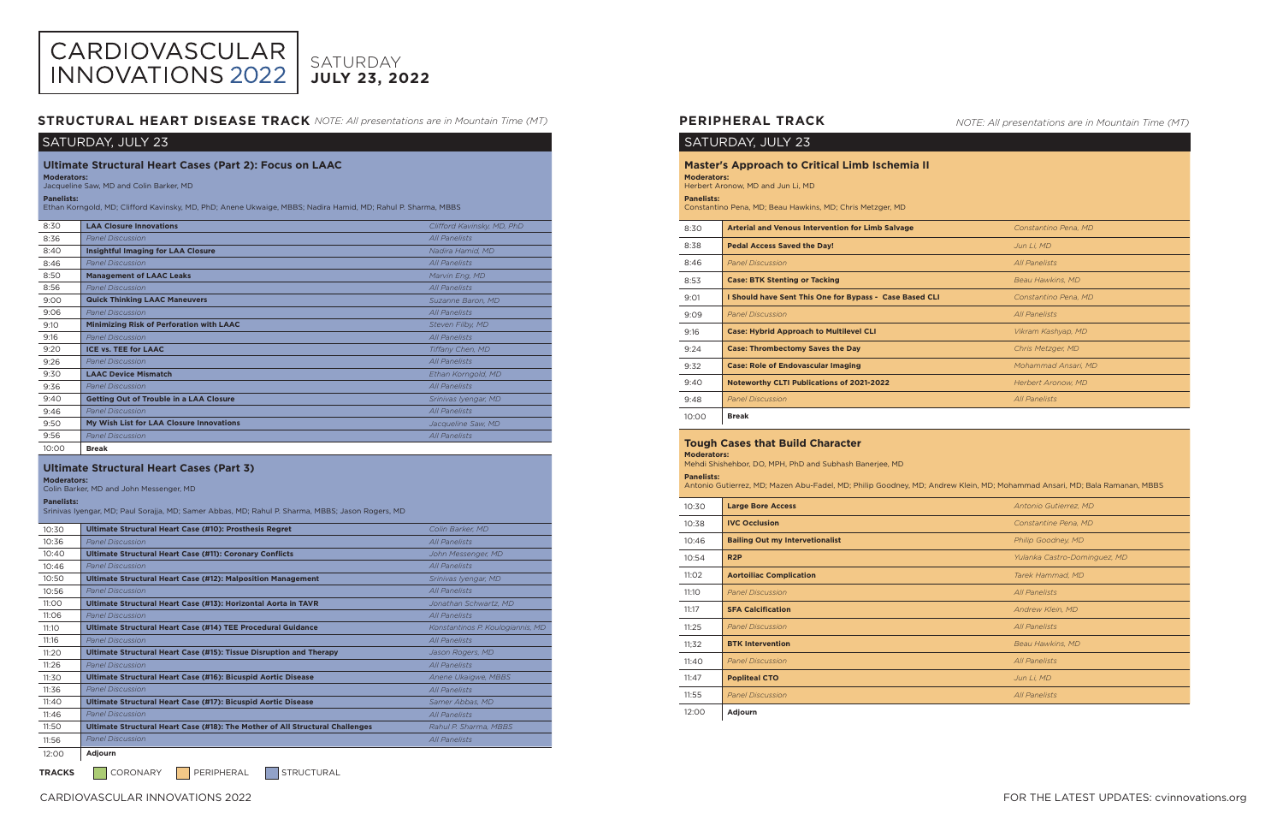# CARDIOVASCULAR<br>INNOVATIONS 2022 SATURDAY **JULY 23, 2022**

# SATURDAY, JULY 23

| <b>Ultimate Structural Heart Cases (Part 2): Focus on LAAC</b><br><b>Moderators:</b><br>Jacqueline Saw, MD and Colin Barker, MD   |                                                 |                            |
|-----------------------------------------------------------------------------------------------------------------------------------|-------------------------------------------------|----------------------------|
| <b>Panelists:</b><br>Ethan Korngold, MD; Clifford Kavinsky, MD, PhD; Anene Ukwaige, MBBS; Nadira Hamid, MD; Rahul P. Sharma, MBBS |                                                 |                            |
| 8:30                                                                                                                              | <b>LAA Closure Innovations</b>                  | Clifford Kavinsky, MD, PhD |
| 8:36                                                                                                                              | <b>Panel Discussion</b>                         | All Panelists              |
| 8:40                                                                                                                              | <b>Insightful Imaging for LAA Closure</b>       | Nadira Hamid, MD           |
| 8:46                                                                                                                              | <b>Panel Discussion</b>                         | All Panelists              |
| 8:50                                                                                                                              | <b>Management of LAAC Leaks</b>                 | Marvin Eng, MD             |
| 8:56                                                                                                                              | <b>Panel Discussion</b>                         | All Panelists              |
| 9:00                                                                                                                              | <b>Quick Thinking LAAC Maneuvers</b>            | Suzanne Baron, MD          |
| 9:06                                                                                                                              | <b>Panel Discussion</b>                         | All Panelists              |
| 9:10                                                                                                                              | <b>Minimizing Risk of Perforation with LAAC</b> | Steven Filby, MD           |
| 9:16                                                                                                                              | <b>Panel Discussion</b>                         | All Panelists              |
| 9:20                                                                                                                              | <b>ICE vs. TEE for LAAC</b>                     | Tiffany Chen, MD           |
| 9:26                                                                                                                              | <b>Panel Discussion</b>                         | All Panelists              |
| 9:30                                                                                                                              | <b>LAAC Device Mismatch</b>                     | Ethan Korngold, MD         |
| 9:36                                                                                                                              | <b>Panel Discussion</b>                         | All Panelists              |
| 9:40                                                                                                                              | <b>Getting Out of Trouble in a LAA Closure</b>  | Srinivas Iyengar, MD       |
| 9:46                                                                                                                              | <b>Panel Discussion</b>                         | All Panelists              |
| 9:50                                                                                                                              | My Wish List for LAA Closure Innovations        | Jacqueline Saw, MD         |
| 9:56                                                                                                                              | <b>Panel Discussion</b>                         | <b>All Panelists</b>       |
| 10:00                                                                                                                             | <b>Break</b>                                    |                            |

# **Ultimate Structural Heart Cases (Part 3)**

**Moderators:** 

Colin Barker, MD and John Messenger, MD

**Panelists:** 

Srinivas Iyengar, MD; Paul Sorajja, MD; Samer Abbas, MD; Rahul P. Sharma, MBBS; Jason Rogers, MD

| 10:30 | Ultimate Structural Heart Case (#10): Prosthesis Regret                       | Colin Barker, MD                 |
|-------|-------------------------------------------------------------------------------|----------------------------------|
| 10:36 | <b>Panel Discussion</b>                                                       | All Panelists                    |
| 10:40 | <b>Ultimate Structural Heart Case (#11): Coronary Conflicts</b>               | John Messenger, MD               |
| 10:46 | <b>Panel Discussion</b>                                                       | All Panelists                    |
| 10:50 | <b>Ultimate Structural Heart Case (#12): Malposition Management</b>           | Srinivas Iyengar, MD             |
| 10:56 | <b>Panel Discussion</b>                                                       | All Panelists                    |
| 11:00 | Ultimate Structural Heart Case (#13): Horizontal Aorta in TAVR                | Jonathan Schwartz, MD            |
| 11:06 | <b>Panel Discussion</b>                                                       | All Panelists                    |
| 11:10 | Ultimate Structural Heart Case (#14) TEE Procedural Guidance                  | Konstantinos P. Koulogiannis, MD |
| 11:16 | <b>Panel Discussion</b>                                                       | All Panelists                    |
| 11:20 | Ultimate Structural Heart Case (#15): Tissue Disruption and Therapy           | Jason Rogers, MD                 |
| 11:26 | <b>Panel Discussion</b>                                                       | All Panelists                    |
| 11:30 | Ultimate Structural Heart Case (#16): Bicuspid Aortic Disease                 | Anene Ukaigwe, MBBS              |
| 11:36 | <b>Panel Discussion</b>                                                       | All Panelists                    |
| 11:40 | Ultimate Structural Heart Case (#17): Bicuspid Aortic Disease                 | Samer Abbas, MD                  |
| 11:46 | <b>Panel Discussion</b>                                                       | All Panelists                    |
| 11:50 | Ultimate Structural Heart Case (#18): The Mother of All Structural Challenges | Rahul P. Sharma, MBBS            |
| 11:56 | <b>Panel Discussion</b>                                                       | All Panelists                    |
|       |                                                                               |                                  |

12:00 **Adjourn**

TRACKS CORONARY PERIPHERAL STRUCTURAL

# **STRUCTURAL HEART DISEASE TRACK** *NOTE: All presentations are in Mountain Time (MT)* **PERIPHERAL TRACK**

# SATURDAY, JULY 23

| <b>Master's Approach to Critical Limb Ischemia II</b><br><b>Moderators:</b><br>Herbert Aronow, MD and Jun Li, MD |                                                         |                           |
|------------------------------------------------------------------------------------------------------------------|---------------------------------------------------------|---------------------------|
| <b>Panelists:</b><br>Constantino Pena, MD; Beau Hawkins, MD; Chris Metzger, MD                                   |                                                         |                           |
| 8:30                                                                                                             | Arterial and Venous Intervention for Limb Salvage       | Constantino Pena, MD      |
| 8:38                                                                                                             | <b>Pedal Access Saved the Day!</b>                      | Jun Li, MD                |
| 8:46                                                                                                             | <b>Panel Discussion</b>                                 | All Panelists             |
| 8:53                                                                                                             | <b>Case: BTK Stenting or Tacking</b>                    | Beau Hawkins, MD          |
| 9:01                                                                                                             | I Should have Sent This One for Bypass - Case Based CLI | Constantino Pena, MD      |
| 9:09                                                                                                             | <b>Panel Discussion</b>                                 | All Panelists             |
| 9:16                                                                                                             | <b>Case: Hybrid Approach to Multilevel CLI</b>          | Vikram Kashyap, MD        |
| 9:24                                                                                                             | <b>Case: Thrombectomy Saves the Day</b>                 | Chris Metzger, MD         |
| 9:32                                                                                                             | <b>Case: Role of Endovascular Imaging</b>               | Mohammad Ansari, MD       |
| 9:40                                                                                                             | <b>Noteworthy CLTI Publications of 2021-2022</b>        | <b>Herbert Aronow, MD</b> |
| 9:48                                                                                                             | <b>Panel Discussion</b>                                 | <b>All Panelists</b>      |
| 10:00                                                                                                            | <b>Break</b>                                            |                           |

# **Tough Cases that Build Character**

**Moderators:** 

Mehdi Shishehbor, DO, MPH, PhD and Subhash Banerjee, MD

**Panelists:** 

Antonio Gutierrez, MD; Mazen Abu-Fadel, MD; Philip Goodney, MD; Andrew Klein, MD; Mohammad Ansari, MD; Bala Ramanan, MBBS

| 10:30 | <b>Large Bore Access</b><br>Antonio Gutierrez, MD |                              |
|-------|---------------------------------------------------|------------------------------|
| 10:38 | <b>IVC Occlusion</b>                              | Constantine Pena, MD         |
| 10:46 | <b>Bailing Out my Intervetionalist</b>            | Philip Goodney, MD           |
| 10:54 | R <sub>2</sub> P                                  | Yulanka Castro-Dominguez, MD |
| 11:02 | <b>Aortoiliac Complication</b>                    | Tarek Hammad, MD             |
| 11:10 | <b>Panel Discussion</b>                           | <b>All Panelists</b>         |
| 11:17 | <b>SFA Calcification</b>                          | Andrew Klein, MD             |
| 11:25 | <b>Panel Discussion</b>                           | <b>All Panelists</b>         |
| 11;32 | <b>BTK Intervention</b>                           | Beau Hawkins, MD             |
| 11:40 | <b>Panel Discussion</b>                           | All Panelists                |
| 11:47 | <b>Popliteal CTO</b>                              | Jun Li, MD                   |
| 11:55 | <b>Panel Discussion</b>                           | All Panelists                |
| 12:00 | Adjourn                                           |                              |

| NOTE: All presentations are in Mountain Time (MT) |  |  |  |  |
|---------------------------------------------------|--|--|--|--|
|---------------------------------------------------|--|--|--|--|